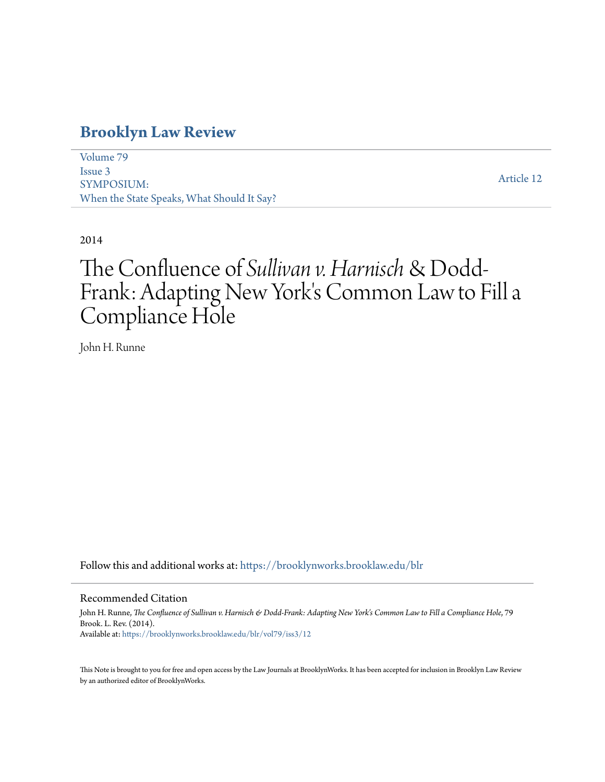# **[Brooklyn Law Review](https://brooklynworks.brooklaw.edu/blr?utm_source=brooklynworks.brooklaw.edu%2Fblr%2Fvol79%2Fiss3%2F12&utm_medium=PDF&utm_campaign=PDFCoverPages)**

[Volume 79](https://brooklynworks.brooklaw.edu/blr/vol79?utm_source=brooklynworks.brooklaw.edu%2Fblr%2Fvol79%2Fiss3%2F12&utm_medium=PDF&utm_campaign=PDFCoverPages) [Issue 3](https://brooklynworks.brooklaw.edu/blr/vol79/iss3?utm_source=brooklynworks.brooklaw.edu%2Fblr%2Fvol79%2Fiss3%2F12&utm_medium=PDF&utm_campaign=PDFCoverPages) SYMPOSIUM: When the State Speaks, What Should It Say?

[Article 12](https://brooklynworks.brooklaw.edu/blr/vol79/iss3/12?utm_source=brooklynworks.brooklaw.edu%2Fblr%2Fvol79%2Fiss3%2F12&utm_medium=PDF&utm_campaign=PDFCoverPages)

2014

# The Confluence of *Sullivan v. Harnisch*& Dodd-Frank: Adapting New York's Common Law to Fill a Compliance Hole

John H. Runne

Follow this and additional works at: [https://brooklynworks.brooklaw.edu/blr](https://brooklynworks.brooklaw.edu/blr?utm_source=brooklynworks.brooklaw.edu%2Fblr%2Fvol79%2Fiss3%2F12&utm_medium=PDF&utm_campaign=PDFCoverPages)

# Recommended Citation

John H. Runne, *The Confluence of Sullivan v. Harnisch & Dodd-Frank: Adapting New York's Common Law to Fill a Compliance Hole*, 79 Brook. L. Rev. (2014). Available at: [https://brooklynworks.brooklaw.edu/blr/vol79/iss3/12](https://brooklynworks.brooklaw.edu/blr/vol79/iss3/12?utm_source=brooklynworks.brooklaw.edu%2Fblr%2Fvol79%2Fiss3%2F12&utm_medium=PDF&utm_campaign=PDFCoverPages)

This Note is brought to you for free and open access by the Law Journals at BrooklynWorks. It has been accepted for inclusion in Brooklyn Law Review by an authorized editor of BrooklynWorks.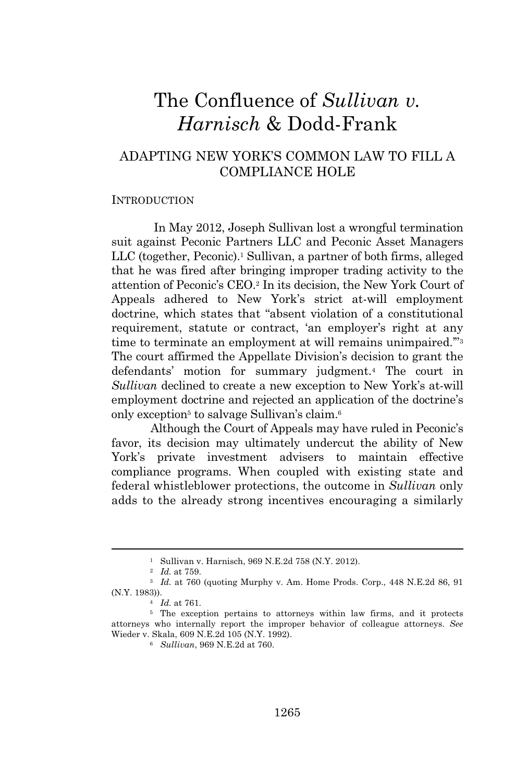# The Confluence of *Sullivan v. Harnisch* & Dodd-Frank

# ADAPTING NEW YORK'S COMMON LAW TO FILL A COMPLIANCE HOLE

#### INTRODUCTION

In May 2012, Joseph Sullivan lost a wrongful termination suit against Peconic Partners LLC and Peconic Asset Managers LLC (together, Peconic).<sup>1</sup> Sullivan, a partner of both firms, alleged that he was fired after bringing improper trading activity to the attention of Peconic's CEO.<sup>2</sup> In its decision, the New York Court of Appeals adhered to New York's strict at-will employment doctrine, which states that "absent violation of a constitutional requirement, statute or contract, 'an employer's right at any time to terminate an employment at will remains unimpaired."<sup>3</sup> The court affirmed the Appellate Division's decision to grant the defendants' motion for summary judgment.<sup>4</sup> The court in *Sullivan* declined to create a new exception to New York's at-will employment doctrine and rejected an application of the doctrine's only exception<sup>5</sup> to salvage Sullivan's claim.<sup>6</sup>

Although the Court of Appeals may have ruled in Peconic's favor, its decision may ultimately undercut the ability of New York's private investment advisers to maintain effective compliance programs. When coupled with existing state and federal whistleblower protections, the outcome in *Sullivan* only adds to the already strong incentives encouraging a similarly

<sup>1</sup> Sullivan v. Harnisch, 969 N.E.2d 758 (N.Y. 2012).

<sup>2</sup> *Id.* at 759.

<sup>3</sup> *Id.* at 760 (quoting Murphy v. Am. Home Prods. Corp., 448 N.E.2d 86, 91 (N.Y. 1983)).

<sup>4</sup> *Id.* at 761.

<sup>5</sup> The exception pertains to attorneys within law firms, and it protects attorneys who internally report the improper behavior of colleague attorneys. *See* Wieder v. Skala, 609 N.E.2d 105 (N.Y. 1992).

<sup>6</sup> *Sullivan*, 969 N.E.2d at 760.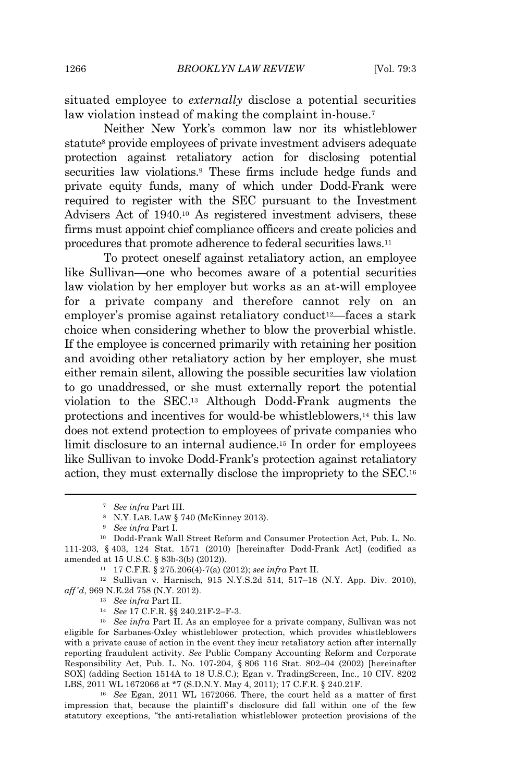situated employee to *externally* disclose a potential securities law violation instead of making the complaint in-house.<sup>7</sup>

Neither New York's common law nor its whistleblower statute<sup>8</sup> provide employees of private investment advisers adequate protection against retaliatory action for disclosing potential securities law violations.<sup>9</sup> These firms include hedge funds and private equity funds, many of which under Dodd-Frank were required to register with the SEC pursuant to the Investment Advisers Act of 1940.<sup>10</sup> As registered investment advisers, these firms must appoint chief compliance officers and create policies and procedures that promote adherence to federal securities laws.<sup>11</sup>

To protect oneself against retaliatory action, an employee like Sullivan—one who becomes aware of a potential securities law violation by her employer but works as an at-will employee for a private company and therefore cannot rely on an employer's promise against retaliatory conduct<sup>12</sup>—faces a stark choice when considering whether to blow the proverbial whistle. If the employee is concerned primarily with retaining her position and avoiding other retaliatory action by her employer, she must either remain silent, allowing the possible securities law violation to go unaddressed, or she must externally report the potential violation to the SEC.<sup>13</sup> Although Dodd-Frank augments the protections and incentives for would-be whistleblowers,<sup>14</sup> this law does not extend protection to employees of private companies who limit disclosure to an internal audience.<sup>15</sup> In order for employees like Sullivan to invoke Dodd-Frank's protection against retaliatory action, they must externally disclose the impropriety to the SEC.<sup>16</sup>

<sup>13</sup> *See infra* Part II.

<sup>7</sup> *See infra* Part III.

<sup>8</sup> N.Y. LAB. LAW § 740 (McKinney 2013).

<sup>9</sup> *See infra* Part I.

<sup>10</sup> Dodd-Frank Wall Street Reform and Consumer Protection Act, Pub. L. No. 111-203, § 403, 124 Stat. 1571 (2010) [hereinafter Dodd-Frank Act] (codified as amended at 15 U.S.C. § 83b-3(b) (2012)).

<sup>11</sup> 17 C.F.R. § 275.206(4)-7(a) (2012); *see infra* Part II.

<sup>12</sup> Sullivan v. Harnisch, 915 N.Y.S.2d 514, 517–18 (N.Y. App. Div. 2010), *aff'd*, 969 N.E.2d 758 (N.Y. 2012).

<sup>14</sup> *See* 17 C.F.R. §§ 240.21F-2–F-3.

<sup>15</sup> *See infra* Part II. As an employee for a private company, Sullivan was not eligible for Sarbanes-Oxley whistleblower protection, which provides whistleblowers with a private cause of action in the event they incur retaliatory action after internally reporting fraudulent activity. *See* Public Company Accounting Reform and Corporate Responsibility Act, Pub. L. No. 107-204, § 806 116 Stat. 802–04 (2002) [hereinafter SOX] (adding Section 1514A to 18 U.S.C.); Egan v. TradingScreen, Inc., 10 CIV. 8202 LBS, 2011 WL 1672066 at \*7 (S.D.N.Y. May 4, 2011); 17 C.F.R. § 240.21F.

<sup>16</sup> *See* Egan, 2011 WL 1672066. There, the court held as a matter of first impression that, because the plaintiff's disclosure did fall within one of the few statutory exceptions, "the anti-retaliation whistleblower protection provisions of the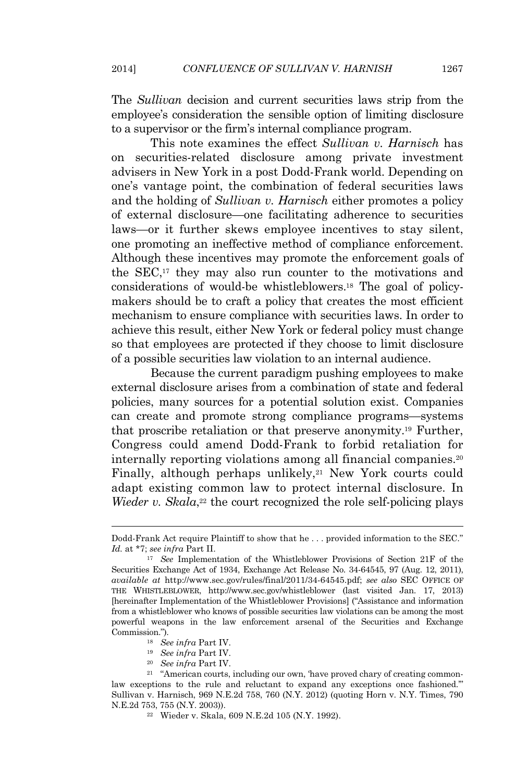The *Sullivan* decision and current securities laws strip from the employee's consideration the sensible option of limiting disclosure to a supervisor or the firm's internal compliance program.

This note examines the effect *Sullivan v. Harnisch* has on securities-related disclosure among private investment advisers in New York in a post Dodd-Frank world. Depending on one's vantage point, the combination of federal securities laws and the holding of *Sullivan v. Harnisch* either promotes a policy of external disclosure—one facilitating adherence to securities laws—or it further skews employee incentives to stay silent, one promoting an ineffective method of compliance enforcement. Although these incentives may promote the enforcement goals of the SEC,<sup>17</sup> they may also run counter to the motivations and considerations of would-be whistleblowers.<sup>18</sup> The goal of policymakers should be to craft a policy that creates the most efficient mechanism to ensure compliance with securities laws. In order to achieve this result, either New York or federal policy must change so that employees are protected if they choose to limit disclosure of a possible securities law violation to an internal audience.

Because the current paradigm pushing employees to make external disclosure arises from a combination of state and federal policies, many sources for a potential solution exist. Companies can create and promote strong compliance programs—systems that proscribe retaliation or that preserve anonymity.<sup>19</sup> Further, Congress could amend Dodd-Frank to forbid retaliation for internally reporting violations among all financial companies.<sup>20</sup> Finally, although perhaps unlikely, $21$  New York courts could adapt existing common law to protect internal disclosure. In Wieder v. Skala,<sup>22</sup> the court recognized the role self-policing plays

- <sup>19</sup> *See infra* Part IV.
- <sup>20</sup> *See infra* Part IV.

Dodd-Frank Act require Plaintiff to show that he . . . provided information to the SEC." *Id.* at \*7; *see infra* Part II.

<sup>17</sup> *See* Implementation of the Whistleblower Provisions of Section 21F of the Securities Exchange Act of 1934, Exchange Act Release No. 34-64545, 97 (Aug. 12, 2011), *available at* http://www.sec.gov/rules/final/2011/34-64545.pdf; *see also* SEC OFFICE OF THE WHISTLEBLOWER, http://www.sec.gov/whistleblower (last visited Jan. 17, 2013) [hereinafter Implementation of the Whistleblower Provisions] ("Assistance and information from a whistleblower who knows of possible securities law violations can be among the most powerful weapons in the law enforcement arsenal of the Securities and Exchange Commission.").

<sup>18</sup> *See infra* Part IV.

<sup>21</sup> "American courts, including our own, 'have proved chary of creating commonlaw exceptions to the rule and reluctant to expand any exceptions once fashioned.'" Sullivan v. Harnisch, 969 N.E.2d 758, 760 (N.Y. 2012) (quoting Horn v. N.Y. Times, 790 N.E.2d 753, 755 (N.Y. 2003)).

<sup>22</sup> Wieder v. Skala, 609 N.E.2d 105 (N.Y. 1992).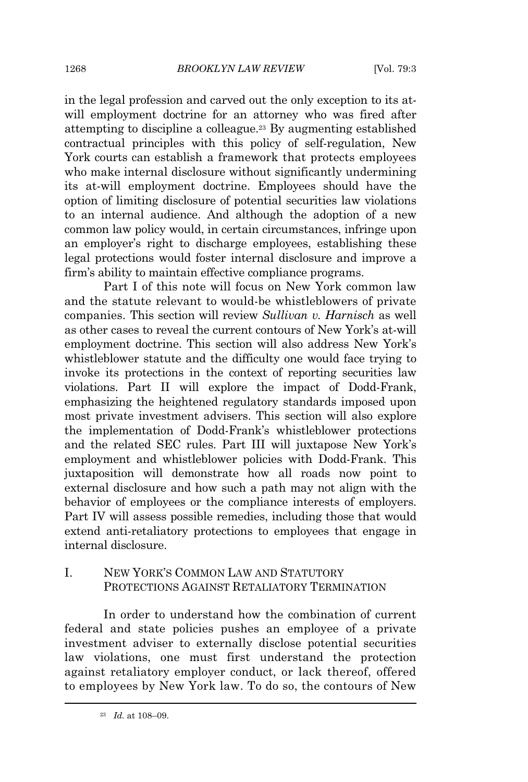in the legal profession and carved out the only exception to its atwill employment doctrine for an attorney who was fired after attempting to discipline a colleague.<sup>23</sup> By augmenting established contractual principles with this policy of self-regulation, New York courts can establish a framework that protects employees who make internal disclosure without significantly undermining its at-will employment doctrine. Employees should have the option of limiting disclosure of potential securities law violations to an internal audience. And although the adoption of a new common law policy would, in certain circumstances, infringe upon an employer's right to discharge employees, establishing these legal protections would foster internal disclosure and improve a firm's ability to maintain effective compliance programs.

Part I of this note will focus on New York common law and the statute relevant to would-be whistleblowers of private companies. This section will review *Sullivan v. Harnisch* as well as other cases to reveal the current contours of New York's at-will employment doctrine. This section will also address New York's whistleblower statute and the difficulty one would face trying to invoke its protections in the context of reporting securities law violations. Part II will explore the impact of Dodd-Frank, emphasizing the heightened regulatory standards imposed upon most private investment advisers. This section will also explore the implementation of Dodd-Frank's whistleblower protections and the related SEC rules. Part III will juxtapose New York's employment and whistleblower policies with Dodd-Frank. This juxtaposition will demonstrate how all roads now point to external disclosure and how such a path may not align with the behavior of employees or the compliance interests of employers. Part IV will assess possible remedies, including those that would extend anti-retaliatory protections to employees that engage in internal disclosure.

# I. NEW YORK'S COMMON LAW AND STATUTORY PROTECTIONS AGAINST RETALIATORY TERMINATION

In order to understand how the combination of current federal and state policies pushes an employee of a private investment adviser to externally disclose potential securities law violations, one must first understand the protection against retaliatory employer conduct, or lack thereof, offered to employees by New York law. To do so, the contours of New

<sup>23</sup> *Id.* at 108–09.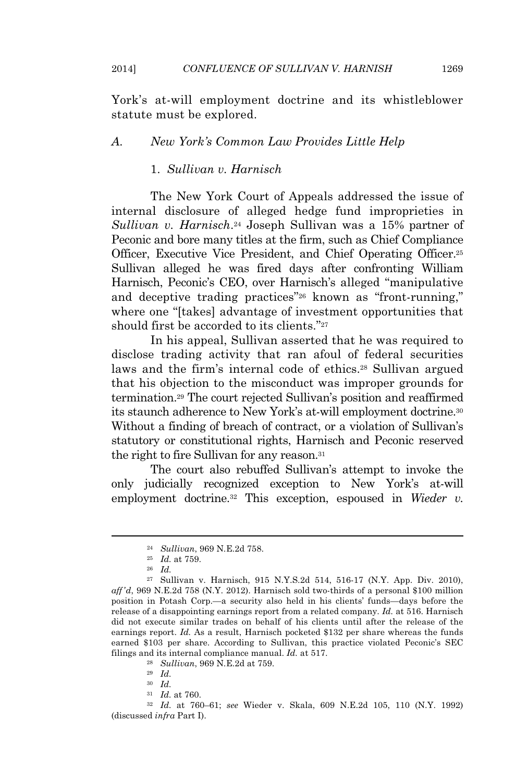York's at-will employment doctrine and its whistleblower

## *A. New York's Common Law Provides Little Help*

# 1. *Sullivan v. Harnisch*

statute must be explored.

The New York Court of Appeals addressed the issue of internal disclosure of alleged hedge fund improprieties in *Sullivan v. Harnisch*. <sup>24</sup> Joseph Sullivan was a 15% partner of Peconic and bore many titles at the firm, such as Chief Compliance Officer, Executive Vice President, and Chief Operating Officer.<sup>25</sup> Sullivan alleged he was fired days after confronting William Harnisch, Peconic's CEO, over Harnisch's alleged "manipulative and deceptive trading practices" <sup>26</sup> known as "front-running," where one "[takes] advantage of investment opportunities that should first be accorded to its clients." 27

In his appeal, Sullivan asserted that he was required to disclose trading activity that ran afoul of federal securities laws and the firm's internal code of ethics.<sup>28</sup> Sullivan argued that his objection to the misconduct was improper grounds for termination.<sup>29</sup> The court rejected Sullivan's position and reaffirmed its staunch adherence to New York's at-will employment doctrine.<sup>30</sup> Without a finding of breach of contract, or a violation of Sullivan's statutory or constitutional rights, Harnisch and Peconic reserved the right to fire Sullivan for any reason.<sup>31</sup>

The court also rebuffed Sullivan's attempt to invoke the only judicially recognized exception to New York's at-will employment doctrine.<sup>32</sup> This exception, espoused in *Wieder v.*

<sup>28</sup> *Sullivan*, 969 N.E.2d at 759.

<sup>32</sup> *Id.* at 760–61; *see* Wieder v. Skala, 609 N.E.2d 105, 110 (N.Y. 1992) (discussed *infra* Part I).

<sup>24</sup> *Sullivan*, 969 N.E.2d 758.

<sup>25</sup> *Id.* at 759.

<sup>26</sup> *Id.*

<sup>27</sup> Sullivan v. Harnisch, 915 N.Y.S.2d 514, 516-17 (N.Y. App. Div. 2010), *aff'd*, 969 N.E.2d 758 (N.Y. 2012). Harnisch sold two-thirds of a personal \$100 million position in Potash Corp.—a security also held in his clients' funds—days before the release of a disappointing earnings report from a related company. *Id.* at 516. Harnisch did not execute similar trades on behalf of his clients until after the release of the earnings report. *Id.* As a result, Harnisch pocketed \$132 per share whereas the funds earned \$103 per share. According to Sullivan, this practice violated Peconic's SEC filings and its internal compliance manual. *Id.* at 517.

<sup>29</sup> *Id.*

<sup>30</sup> *Id.*

<sup>31</sup> *Id.* at 760.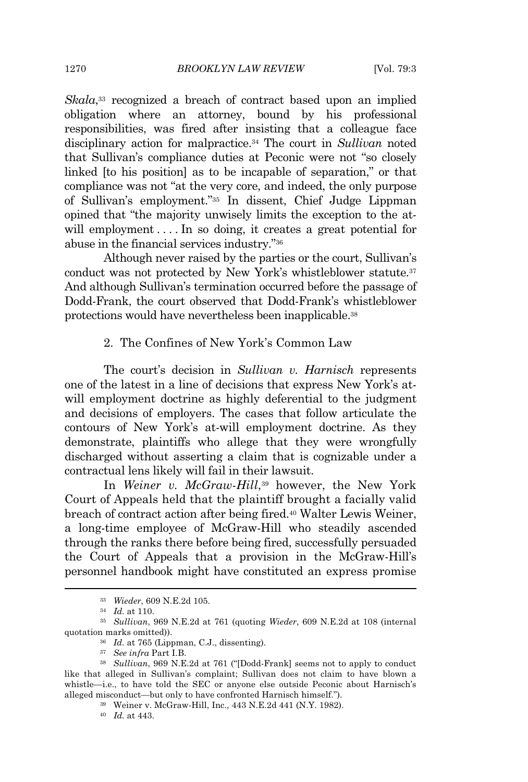Skala,<sup>33</sup> recognized a breach of contract based upon an implied obligation where an attorney, bound by his professional responsibilities, was fired after insisting that a colleague face disciplinary action for malpractice.<sup>34</sup> The court in *Sullivan* noted that Sullivan's compliance duties at Peconic were not "so closely linked [to his position] as to be incapable of separation," or that compliance was not "at the very core, and indeed, the only purpose of Sullivan's employment." <sup>35</sup> In dissent, Chief Judge Lippman opined that "the majority unwisely limits the exception to the atwill employment ... In so doing, it creates a great potential for abuse in the financial services industry." 36

Although never raised by the parties or the court, Sullivan's conduct was not protected by New York's whistleblower statute.<sup>37</sup> And although Sullivan's termination occurred before the passage of Dodd-Frank, the court observed that Dodd-Frank's whistleblower protections would have nevertheless been inapplicable.<sup>38</sup>

# 2. The Confines of New York's Common Law

The court's decision in *Sullivan v. Harnisch* represents one of the latest in a line of decisions that express New York's atwill employment doctrine as highly deferential to the judgment and decisions of employers. The cases that follow articulate the contours of New York's at-will employment doctrine. As they demonstrate, plaintiffs who allege that they were wrongfully discharged without asserting a claim that is cognizable under a contractual lens likely will fail in their lawsuit.

In *Weiner v. McGraw-Hill*, <sup>39</sup> however, the New York Court of Appeals held that the plaintiff brought a facially valid breach of contract action after being fired.<sup>40</sup> Walter Lewis Weiner, a long-time employee of McGraw-Hill who steadily ascended through the ranks there before being fired, successfully persuaded the Court of Appeals that a provision in the McGraw-Hill's personnel handbook might have constituted an express promise

<sup>33</sup> *Wieder*, 609 N.E.2d 105.

<sup>34</sup> *Id.* at 110.

<sup>35</sup> *Sullivan*, 969 N.E.2d at 761 (quoting *Wieder*, 609 N.E.2d at 108 (internal quotation marks omitted)).

<sup>36</sup> *Id.* at 765 (Lippman, C.J., dissenting).

<sup>37</sup> *See infra* Part I.B.

<sup>38</sup> *Sullivan*, 969 N.E.2d at 761 ("[Dodd-Frank] seems not to apply to conduct like that alleged in Sullivan's complaint; Sullivan does not claim to have blown a whistle—i.e., to have told the SEC or anyone else outside Peconic about Harnisch's alleged misconduct—but only to have confronted Harnisch himself.").

<sup>39</sup> Weiner v. McGraw-Hill, Inc., 443 N.E.2d 441 (N.Y. 1982).

<sup>40</sup> *Id.* at 443.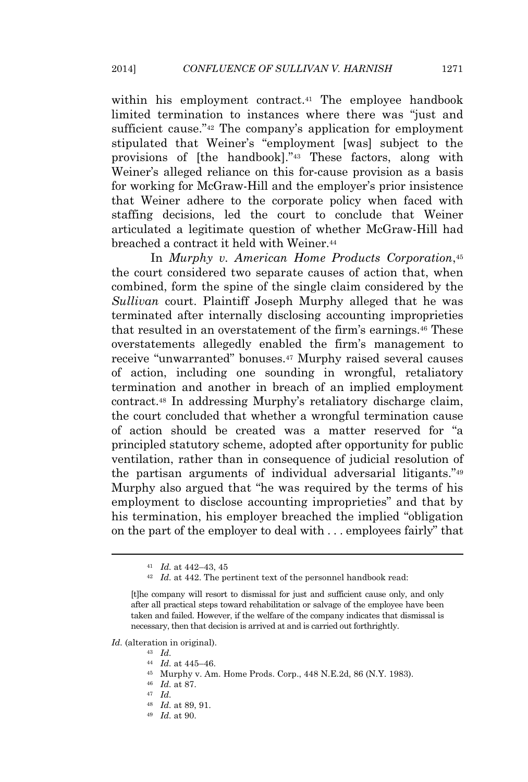within his employment contract.<sup>41</sup> The employee handbook limited termination to instances where there was "just and sufficient cause."<sup>42</sup> The company's application for employment stipulated that Weiner's "employment [was] subject to the provisions of [the handbook]." <sup>43</sup> These factors, along with Weiner's alleged reliance on this for-cause provision as a basis for working for McGraw-Hill and the employer's prior insistence that Weiner adhere to the corporate policy when faced with staffing decisions, led the court to conclude that Weiner articulated a legitimate question of whether McGraw-Hill had breached a contract it held with Weiner.<sup>44</sup>

In *Murphy v. American Home Products Corporation*, 45 the court considered two separate causes of action that, when combined, form the spine of the single claim considered by the *Sullivan* court. Plaintiff Joseph Murphy alleged that he was terminated after internally disclosing accounting improprieties that resulted in an overstatement of the firm's earnings.<sup>46</sup> These overstatements allegedly enabled the firm's management to receive "unwarranted" bonuses.<sup>47</sup> Murphy raised several causes of action, including one sounding in wrongful, retaliatory termination and another in breach of an implied employment contract.<sup>48</sup> In addressing Murphy's retaliatory discharge claim, the court concluded that whether a wrongful termination cause of action should be created was a matter reserved for "a principled statutory scheme, adopted after opportunity for public ventilation, rather than in consequence of judicial resolution of the partisan arguments of individual adversarial litigants."<sup>49</sup> Murphy also argued that "he was required by the terms of his employment to disclose accounting improprieties" and that by his termination, his employer breached the implied "obligation on the part of the employer to deal with . . . employees fairly" that

*Id.* (alteration in original).

- <sup>44</sup> *Id.* at 445–46.
- <sup>45</sup> Murphy v. Am. Home Prods. Corp., 448 N.E.2d, 86 (N.Y. 1983).

- <sup>47</sup> *Id.*
- <sup>48</sup> *Id.* at 89, 91.
- <sup>49</sup> *Id.* at 90.

<sup>41</sup> *Id.* at 442–43, 45

 $^{42}\;$   $\;ld$  442. The pertinent text of the personnel handbook read:

<sup>[</sup>t]he company will resort to dismissal for just and sufficient cause only, and only after all practical steps toward rehabilitation or salvage of the employee have been taken and failed. However, if the welfare of the company indicates that dismissal is necessary, then that decision is arrived at and is carried out forthrightly.

<sup>43</sup> *Id.*

<sup>46</sup> *Id.* at 87.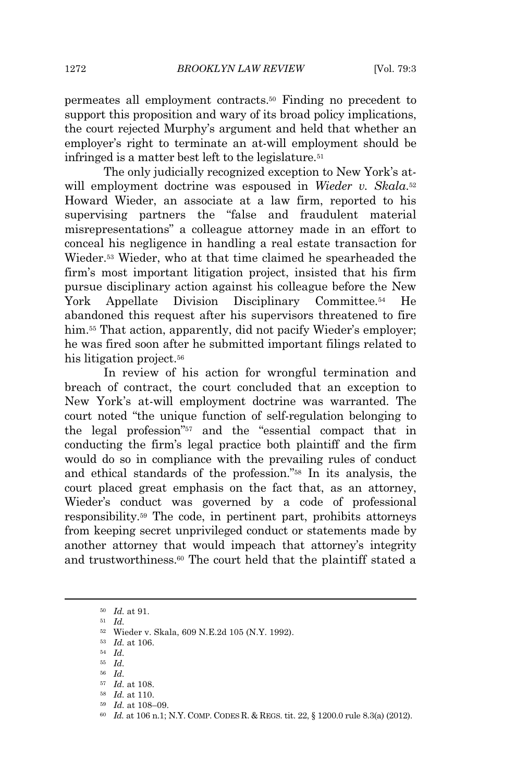permeates all employment contracts.<sup>50</sup> Finding no precedent to support this proposition and wary of its broad policy implications, the court rejected Murphy's argument and held that whether an employer's right to terminate an at-will employment should be infringed is a matter best left to the legislature.<sup>51</sup>

The only judicially recognized exception to New York's atwill employment doctrine was espoused in Wieder v. Skala.<sup>52</sup> Howard Wieder, an associate at a law firm, reported to his supervising partners the "false and fraudulent material misrepresentations" a colleague attorney made in an effort to conceal his negligence in handling a real estate transaction for Wieder.<sup>53</sup> Wieder, who at that time claimed he spearheaded the firm's most important litigation project, insisted that his firm pursue disciplinary action against his colleague before the New York Appellate Division Disciplinary Committee.<sup>54</sup> He abandoned this request after his supervisors threatened to fire him.<sup>55</sup> That action, apparently, did not pacify Wieder's employer; he was fired soon after he submitted important filings related to his litigation project.<sup>56</sup>

In review of his action for wrongful termination and breach of contract, the court concluded that an exception to New York's at-will employment doctrine was warranted. The court noted "the unique function of self-regulation belonging to the legal profession" <sup>57</sup> and the "essential compact that in conducting the firm's legal practice both plaintiff and the firm would do so in compliance with the prevailing rules of conduct and ethical standards of the profession." <sup>58</sup> In its analysis, the court placed great emphasis on the fact that, as an attorney, Wieder's conduct was governed by a code of professional responsibility.<sup>59</sup> The code, in pertinent part, prohibits attorneys from keeping secret unprivileged conduct or statements made by another attorney that would impeach that attorney's integrity and trustworthiness.<sup>60</sup> The court held that the plaintiff stated a

<sup>51</sup> *Id.*

<sup>55</sup> *Id.*

<sup>58</sup> *Id.* at 110.

<sup>50</sup> *Id.* at 91.

<sup>52</sup> Wieder v. Skala, 609 N.E.2d 105 (N.Y. 1992).

<sup>53</sup> *Id.* at 106.

<sup>54</sup> *Id.*

<sup>56</sup> *Id.*

<sup>57</sup> *Id.* at 108.

<sup>59</sup> *Id.* at 108–09.

<sup>60</sup> *Id.* at 106 n.1; N.Y. COMP. CODES R. & REGS. tit. 22, § 1200.0 rule 8.3(a) (2012).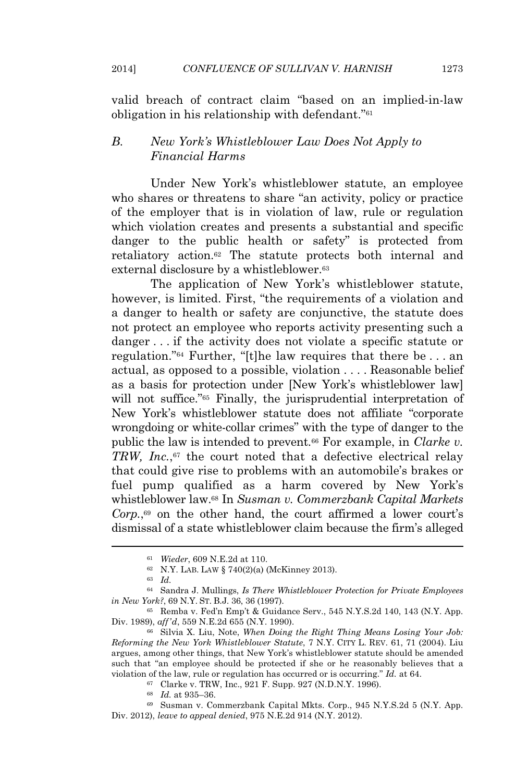valid breach of contract claim "based on an implied-in-law obligation in his relationship with defendant." 61

# *B. New York's Whistleblower Law Does Not Apply to Financial Harms*

Under New York's whistleblower statute, an employee who shares or threatens to share "an activity, policy or practice of the employer that is in violation of law, rule or regulation which violation creates and presents a substantial and specific danger to the public health or safety" is protected from retaliatory action.<sup>62</sup> The statute protects both internal and external disclosure by a whistleblower.<sup>63</sup>

The application of New York's whistleblower statute, however, is limited. First, "the requirements of a violation and a danger to health or safety are conjunctive, the statute does not protect an employee who reports activity presenting such a danger . . . if the activity does not violate a specific statute or regulation." <sup>64</sup> Further, "[t]he law requires that there be . . . an actual, as opposed to a possible, violation . . . . Reasonable belief as a basis for protection under [New York's whistleblower law] will not suffice." <sup>65</sup> Finally, the jurisprudential interpretation of New York's whistleblower statute does not affiliate "corporate wrongdoing or white-collar crimes" with the type of danger to the public the law is intended to prevent.<sup>66</sup> For example, in *Clarke v. TRW, Inc.*, <sup>67</sup> the court noted that a defective electrical relay that could give rise to problems with an automobile's brakes or fuel pump qualified as a harm covered by New York's whistleblower law.<sup>68</sup> In *Susman v. Commerzbank Capital Markets* Corp.,<sup>69</sup> on the other hand, the court affirmed a lower court's dismissal of a state whistleblower claim because the firm's alleged

<sup>67</sup> Clarke v. TRW, Inc., 921 F. Supp. 927 (N.D.N.Y. 1996).

<sup>61</sup> *Wieder*, 609 N.E.2d at 110.

<sup>62</sup> N.Y. LAB. LAW § 740(2)(a) (McKinney 2013).

<sup>63</sup> *Id.*

<sup>64</sup> Sandra J. Mullings, *Is There Whistleblower Protection for Private Employees in New York?*, 69 N.Y. ST. B.J. 36, 36 (1997).

<sup>65</sup> Remba v. Fed'n Emp't & Guidance Serv., 545 N.Y.S.2d 140, 143 (N.Y. App. Div. 1989), *aff'd*, 559 N.E.2d 655 (N.Y. 1990).

<sup>66</sup> Silvia X. Liu, Note, *When Doing the Right Thing Means Losing Your Job: Reforming the New York Whistleblower Statute*, 7 N.Y. CITY L. REV. 61, 71 (2004). Liu argues, among other things, that New York's whistleblower statute should be amended such that "an employee should be protected if she or he reasonably believes that a violation of the law, rule or regulation has occurred or is occurring." *Id.* at 64.

<sup>68</sup> *Id.* at 935–36.

<sup>69</sup> Susman v. Commerzbank Capital Mkts. Corp., 945 N.Y.S.2d 5 (N.Y. App. Div. 2012), *leave to appeal denied*, 975 N.E.2d 914 (N.Y. 2012).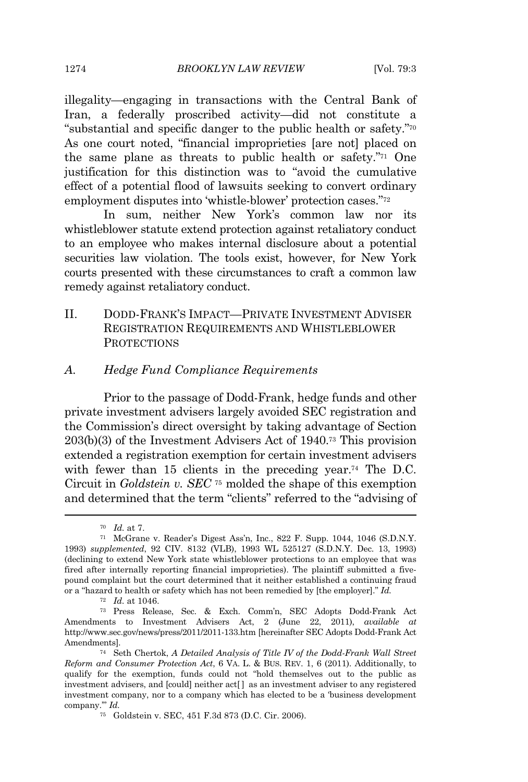1274 *BROOKLYN LAW REVIEW* [Vol. 79:3

illegality—engaging in transactions with the Central Bank of Iran, a federally proscribed activity—did not constitute a "substantial and specific danger to the public health or safety." 70 As one court noted, "financial improprieties [are not] placed on the same plane as threats to public health or safety." <sup>71</sup> One justification for this distinction was to "avoid the cumulative effect of a potential flood of lawsuits seeking to convert ordinary employment disputes into 'whistle-blower' protection cases."<sup>72</sup>

In sum, neither New York's common law nor its whistleblower statute extend protection against retaliatory conduct to an employee who makes internal disclosure about a potential securities law violation. The tools exist, however, for New York courts presented with these circumstances to craft a common law remedy against retaliatory conduct.

II. DODD-FRANK'S IMPACT—PRIVATE INVESTMENT ADVISER REGISTRATION REQUIREMENTS AND WHISTLEBLOWER **PROTECTIONS** 

## *A. Hedge Fund Compliance Requirements*

Prior to the passage of Dodd-Frank, hedge funds and other private investment advisers largely avoided SEC registration and the Commission's direct oversight by taking advantage of Section 203(b)(3) of the Investment Advisers Act of 1940.<sup>73</sup> This provision extended a registration exemption for certain investment advisers with fewer than 15 clients in the preceding year.<sup>74</sup> The D.C. Circuit in *Goldstein v. SEC* <sup>75</sup> molded the shape of this exemption and determined that the term "clients" referred to the "advising of

<sup>70</sup> *Id.* at 7.

<sup>71</sup> McGrane v. Reader's Digest Ass'n, Inc., 822 F. Supp. 1044, 1046 (S.D.N.Y. 1993) *supplemented*, 92 CIV. 8132 (VLB), 1993 WL 525127 (S.D.N.Y. Dec. 13, 1993) (declining to extend New York state whistleblower protections to an employee that was fired after internally reporting financial improprieties). The plaintiff submitted a fivepound complaint but the court determined that it neither established a continuing fraud or a "hazard to health or safety which has not been remedied by [the employer]." *Id.*

<sup>72</sup> *Id.* at 1046.

<sup>73</sup> Press Release, Sec. & Exch. Comm'n, SEC Adopts Dodd-Frank Act Amendments to Investment Advisers Act, 2 (June 22, 2011), *available at* http://www.sec.gov/news/press/2011/2011-133.htm [hereinafter SEC Adopts Dodd-Frank Act Amendments].

<sup>74</sup> Seth Chertok, *A Detailed Analysis of Title IV of the Dodd-Frank Wall Street Reform and Consumer Protection Act*, 6 VA. L. & BUS. REV. 1, 6 (2011). Additionally, to qualify for the exemption, funds could not "hold themselves out to the public as investment advisers, and [could] neither act[ ] as an investment adviser to any registered investment company, nor to a company which has elected to be a 'business development company.'" *Id.*

<sup>75</sup> Goldstein v. SEC, 451 F.3d 873 (D.C. Cir. 2006).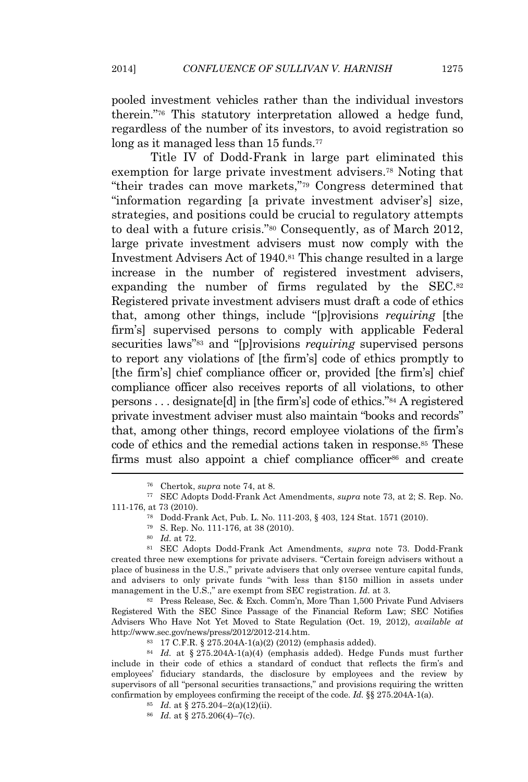pooled investment vehicles rather than the individual investors therein." <sup>76</sup> This statutory interpretation allowed a hedge fund, regardless of the number of its investors, to avoid registration so long as it managed less than 15 funds.<sup>77</sup>

Title IV of Dodd-Frank in large part eliminated this exemption for large private investment advisers.<sup>78</sup> Noting that "their trades can move markets," <sup>79</sup> Congress determined that "information regarding [a private investment adviser's] size, strategies, and positions could be crucial to regulatory attempts to deal with a future crisis." <sup>80</sup> Consequently, as of March 2012, large private investment advisers must now comply with the Investment Advisers Act of 1940.<sup>81</sup> This change resulted in a large increase in the number of registered investment advisers, expanding the number of firms regulated by the SEC.<sup>82</sup> Registered private investment advisers must draft a code of ethics that, among other things, include "[p]rovisions *requiring* [the firm's] supervised persons to comply with applicable Federal securities laws"<sup>83</sup> and "[p]rovisions *requiring* supervised persons to report any violations of [the firm's] code of ethics promptly to [the firm's] chief compliance officer or, provided [the firm's] chief compliance officer also receives reports of all violations, to other persons . . . designate[d] in [the firm's] code of ethics." <sup>84</sup> A registered private investment adviser must also maintain "books and records" that, among other things, record employee violations of the firm's code of ethics and the remedial actions taken in response.<sup>85</sup> These firms must also appoint a chief compliance officer<sup>86</sup> and create

<sup>82</sup> Press Release, Sec. & Exch. Comm'n, More Than 1,500 Private Fund Advisers Registered With the SEC Since Passage of the Financial Reform Law; SEC Notifies Advisers Who Have Not Yet Moved to State Regulation (Oct. 19, 2012), *available at* http://www.sec.gov/news/press/2012/2012-214.htm.

<sup>84</sup> *Id.* at § 275.204A-1(a)(4) (emphasis added). Hedge Funds must further include in their code of ethics a standard of conduct that reflects the firm's and employees' fiduciary standards, the disclosure by employees and the review by supervisors of all "personal securities transactions," and provisions requiring the written confirmation by employees confirming the receipt of the code. *Id.* §§ 275.204A-1(a).

- <sup>85</sup> *Id.* at § 275.204–2(a)(12)(ii).
- <sup>86</sup> *Id.* at § 275.206(4)–7(c).

<sup>76</sup> Chertok, *supra* note 74, at 8.

<sup>77</sup> SEC Adopts Dodd-Frank Act Amendments, *supra* note 73, at 2; S. Rep. No. 111-176, at 73 (2010).

<sup>78</sup> Dodd-Frank Act, Pub. L. No. 111-203, § 403, 124 Stat. 1571 (2010).

<sup>79</sup> S. Rep. No. 111-176, at 38 (2010).

<sup>80</sup> *Id.* at 72.

<sup>81</sup> SEC Adopts Dodd-Frank Act Amendments, *supra* note 73. Dodd-Frank created three new exemptions for private advisers. "Certain foreign advisers without a place of business in the U.S.," private advisers that only oversee venture capital funds, and advisers to only private funds "with less than \$150 million in assets under management in the U.S.," are exempt from SEC registration. *Id.* at 3.

<sup>83</sup> 17 C.F.R. § 275.204A-1(a)(2) (2012) (emphasis added).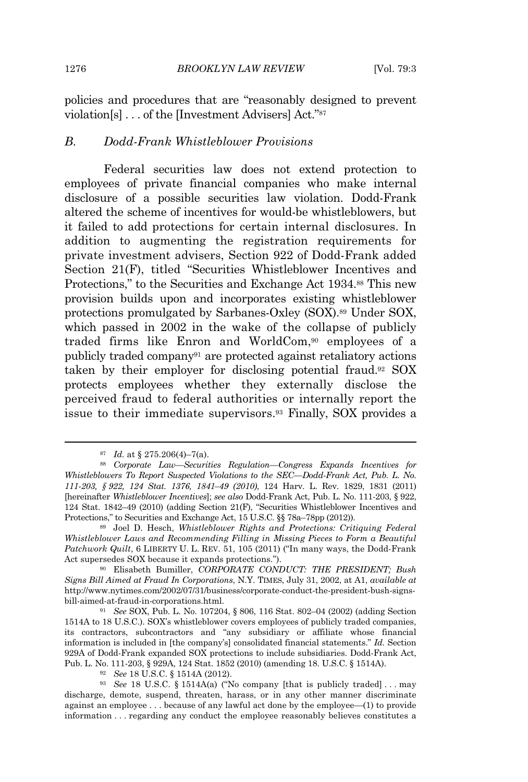policies and procedures that are "reasonably designed to prevent violation[s] . . . of the [Investment Advisers] Act." 87

## *B. Dodd-Frank Whistleblower Provisions*

Federal securities law does not extend protection to employees of private financial companies who make internal disclosure of a possible securities law violation. Dodd-Frank altered the scheme of incentives for would-be whistleblowers, but it failed to add protections for certain internal disclosures. In addition to augmenting the registration requirements for private investment advisers, Section 922 of Dodd-Frank added Section 21(F), titled "Securities Whistleblower Incentives and Protections," to the Securities and Exchange Act 1934.<sup>88</sup> This new provision builds upon and incorporates existing whistleblower protections promulgated by Sarbanes-Oxley (SOX).<sup>89</sup> Under SOX, which passed in 2002 in the wake of the collapse of publicly traded firms like Enron and WorldCom,<sup>90</sup> employees of a publicly traded company<sup>91</sup> are protected against retaliatory actions taken by their employer for disclosing potential fraud.<sup>92</sup> SOX protects employees whether they externally disclose the perceived fraud to federal authorities or internally report the issue to their immediate supervisors.<sup>93</sup> Finally, SOX provides a

<sup>87</sup> *Id.* at § 275.206(4)–7(a).

<sup>88</sup> *Corporate Law—Securities Regulation—Congress Expands Incentives for Whistleblowers To Report Suspected Violations to the SEC—Dodd-Frank Act, Pub. L. No. 111-203, § 922, 124 Stat. 1376, 1841–49 (2010)*, 124 Harv. L. Rev. 1829, 1831 (2011) [hereinafter *Whistleblower Incentives*]; *see also* Dodd-Frank Act, Pub. L. No. 111-203, § 922, 124 Stat. 1842–49 (2010) (adding Section 21(F), "Securities Whistleblower Incentives and Protections," to Securities and Exchange Act, 15 U.S.C. §§ 78a–78pp (2012)).

<sup>89</sup> Joel D. Hesch, *Whistleblower Rights and Protections: Critiquing Federal Whistleblower Laws and Recommending Filling in Missing Pieces to Form a Beautiful Patchwork Quilt*, 6 LIBERTY U. L. REV. 51, 105 (2011) ("In many ways, the Dodd-Frank Act supersedes SOX because it expands protections.").

<sup>90</sup> Elisabeth Bumiller, *CORPORATE CONDUCT: THE PRESIDENT; Bush Signs Bill Aimed at Fraud In Corporations*, N.Y. TIMES, July 31, 2002, at A1, *available at* http://www.nytimes.com/2002/07/31/business/corporate-conduct-the-president-bush-signsbill-aimed-at-fraud-in-corporations.html.

<sup>91</sup> *See* SOX, Pub. L. No. 107204, § 806, 116 Stat. 802–04 (2002) (adding Section 1514A to 18 U.S.C.). SOX's whistleblower covers employees of publicly traded companies, its contractors, subcontractors and "any subsidiary or affiliate whose financial information is included in [the company's] consolidated financial statements." *Id.* Section 929A of Dodd-Frank expanded SOX protections to include subsidiaries. Dodd-Frank Act, Pub. L. No. 111-203, § 929A, 124 Stat. 1852 (2010) (amending 18. U.S.C. § 1514A).

<sup>92</sup> *See* 18 U.S.C. § 1514A (2012).

<sup>93</sup> *See* 18 U.S.C. § 1514A(a) ("No company [that is publicly traded] . . . may discharge, demote, suspend, threaten, harass, or in any other manner discriminate against an employee . . . because of any lawful act done by the employee—(1) to provide information . . . regarding any conduct the employee reasonably believes constitutes a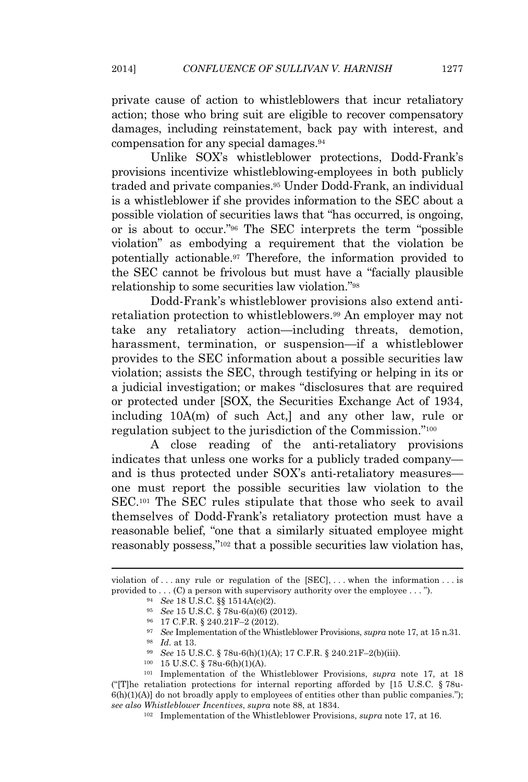private cause of action to whistleblowers that incur retaliatory action; those who bring suit are eligible to recover compensatory damages, including reinstatement, back pay with interest, and compensation for any special damages.<sup>94</sup>

Unlike SOX's whistleblower protections, Dodd-Frank's provisions incentivize whistleblowing-employees in both publicly traded and private companies.<sup>95</sup> Under Dodd-Frank, an individual is a whistleblower if she provides information to the SEC about a possible violation of securities laws that "has occurred, is ongoing, or is about to occur." <sup>96</sup> The SEC interprets the term "possible violation" as embodying a requirement that the violation be potentially actionable.<sup>97</sup> Therefore, the information provided to the SEC cannot be frivolous but must have a "facially plausible relationship to some securities law violation." 98

Dodd-Frank's whistleblower provisions also extend antiretaliation protection to whistleblowers.<sup>99</sup> An employer may not take any retaliatory action—including threats, demotion, harassment, termination, or suspension—if a whistleblower provides to the SEC information about a possible securities law violation; assists the SEC, through testifying or helping in its or a judicial investigation; or makes "disclosures that are required or protected under [SOX, the Securities Exchange Act of 1934, including 10A(m) of such Act,] and any other law, rule or regulation subject to the jurisdiction of the Commission." 100

A close reading of the anti-retaliatory provisions indicates that unless one works for a publicly traded company and is thus protected under SOX's anti-retaliatory measures one must report the possible securities law violation to the SEC.<sup>101</sup> The SEC rules stipulate that those who seek to avail themselves of Dodd-Frank's retaliatory protection must have a reasonable belief, "one that a similarly situated employee might reasonably possess," <sup>102</sup> that a possible securities law violation has,

violation of ... any rule or regulation of the  $[SEC], \ldots$  when the information ... is provided to . . . (C) a person with supervisory authority over the employee . . . ").

<sup>94</sup> *See* 18 U.S.C. §§ 1514A(c)(2).

<sup>95</sup> *See* 15 U.S.C. § 78u-6(a)(6) (2012).

<sup>96</sup> 17 C.F.R. § 240.21F–2 (2012).

<sup>97</sup> *See* Implementation of the Whistleblower Provisions, *supra* note 17, at 15 n.31.

<sup>98</sup> *Id.* at 13.

<sup>99</sup> *See* 15 U.S.C. § 78u-6(h)(1)(A); 17 C.F.R. § 240.21F–2(b)(iii).

<sup>100</sup> 15 U.S.C. § 78u-6(h)(1)(A).

<sup>101</sup> Implementation of the Whistleblower Provisions, *supra* note 17, at 18 ("[T]he retaliation protections for internal reporting afforded by  $[15 \text{ U.S.C.} \$  78u-6(h)(1)(A)] do not broadly apply to employees of entities other than public companies."); *see also Whistleblower Incentives*, *supra* note 88, at 1834.

<sup>102</sup> Implementation of the Whistleblower Provisions, *supra* note 17, at 16.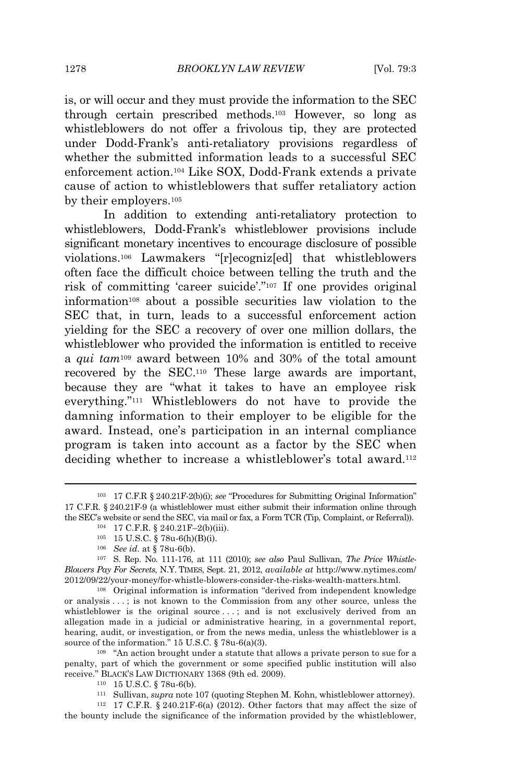is, or will occur and they must provide the information to the SEC through certain prescribed methods.<sup>103</sup> However, so long as whistleblowers do not offer a frivolous tip, they are protected under Dodd-Frank's anti-retaliatory provisions regardless of whether the submitted information leads to a successful SEC enforcement action.<sup>104</sup> Like SOX, Dodd-Frank extends a private cause of action to whistleblowers that suffer retaliatory action by their employers.<sup>105</sup>

In addition to extending anti-retaliatory protection to whistleblowers, Dodd-Frank's whistleblower provisions include significant monetary incentives to encourage disclosure of possible violations.<sup>106</sup> Lawmakers "[r]ecogniz[ed] that whistleblowers often face the difficult choice between telling the truth and the risk of committing 'career suicide'." <sup>107</sup> If one provides original information<sup>108</sup> about a possible securities law violation to the SEC that, in turn, leads to a successful enforcement action yielding for the SEC a recovery of over one million dollars, the whistleblower who provided the information is entitled to receive a *qui tam*<sup>109</sup> award between 10% and 30% of the total amount recovered by the SEC.<sup>110</sup> These large awards are important, because they are "what it takes to have an employee risk everything." <sup>111</sup> Whistleblowers do not have to provide the damning information to their employer to be eligible for the award. Instead, one's participation in an internal compliance program is taken into account as a factor by the SEC when deciding whether to increase a whistleblower's total award.<sup>112</sup>

<sup>108</sup> Original information is information "derived from independent knowledge or analysis . . . ; is not known to the Commission from any other source, unless the whistleblower is the original source ...; and is not exclusively derived from an allegation made in a judicial or administrative hearing, in a governmental report, hearing, audit, or investigation, or from the news media, unless the whistleblower is a source of the information." 15 U.S.C. § 78u-6(a)(3).

<sup>109</sup> "An action brought under a statute that allows a private person to sue for a penalty, part of which the government or some specified public institution will also receive." BLACK'S LAW DICTIONARY 1368 (9th ed. 2009).

<sup>112</sup> 17 C.F.R. § 240.21F-6(a) (2012). Other factors that may affect the size of the bounty include the significance of the information provided by the whistleblower,

<sup>103</sup> 17 C.F.R § 240.21F-2(b)(i); *see* "Procedures for Submitting Original Information" 17 C.F.R. § 240.21F-9 (a whistleblower must either submit their information online through the SEC's website or send the SEC, via mail or fax, a Form TCR (Tip, Complaint, or Referral)).

<sup>104</sup> 17 C.F.R. § 240.21F–2(b)(iii).

<sup>105</sup> 15 U.S.C. § 78u-6(h)(B)(i).

<sup>106</sup> *See id.* at § 78u-6(b).

<sup>107</sup> S. Rep. No. 111-176, at 111 (2010); *see also* Paul Sullivan, *The Price Whistle-Blowers Pay For Secrets*, N.Y. TIMES, Sept. 21, 2012, *available at* http://www.nytimes.com/ 2012/09/22/your-money/for-whistle-blowers-consider-the-risks-wealth-matters.html.

<sup>110</sup> 15 U.S.C. § 78u-6(b).

<sup>111</sup> Sullivan, *supra* note 107 (quoting Stephen M. Kohn, whistleblower attorney).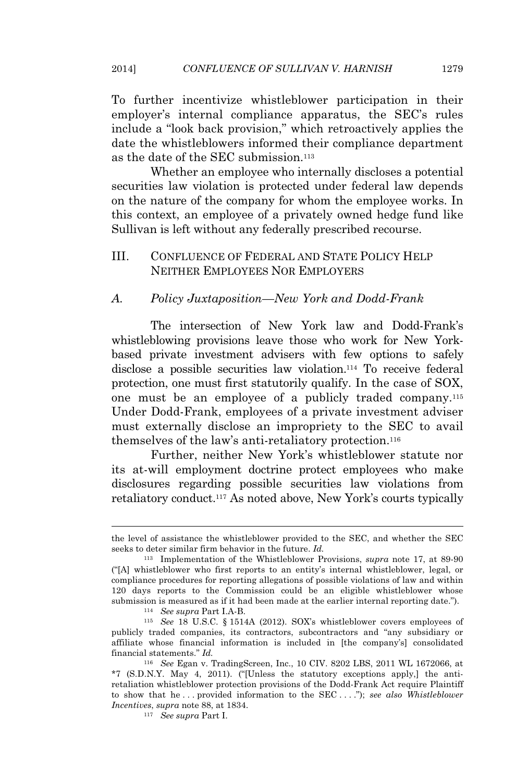To further incentivize whistleblower participation in their employer's internal compliance apparatus, the SEC's rules include a "look back provision," which retroactively applies the date the whistleblowers informed their compliance department as the date of the SEC submission.<sup>113</sup>

Whether an employee who internally discloses a potential securities law violation is protected under federal law depends on the nature of the company for whom the employee works. In this context, an employee of a privately owned hedge fund like Sullivan is left without any federally prescribed recourse.

# III. CONFLUENCE OF FEDERAL AND STATE POLICY HELP NEITHER EMPLOYEES NOR EMPLOYERS

## *A. Policy Juxtaposition—New York and Dodd-Frank*

The intersection of New York law and Dodd-Frank's whistleblowing provisions leave those who work for New Yorkbased private investment advisers with few options to safely disclose a possible securities law violation.<sup>114</sup> To receive federal protection, one must first statutorily qualify. In the case of SOX, one must be an employee of a publicly traded company.<sup>115</sup> Under Dodd-Frank, employees of a private investment adviser must externally disclose an impropriety to the SEC to avail themselves of the law's anti-retaliatory protection.<sup>116</sup>

Further, neither New York's whistleblower statute nor its at-will employment doctrine protect employees who make disclosures regarding possible securities law violations from retaliatory conduct.<sup>117</sup> As noted above, New York's courts typically

the level of assistance the whistleblower provided to the SEC, and whether the SEC seeks to deter similar firm behavior in the future. *Id.*

<sup>113</sup> Implementation of the Whistleblower Provisions, *supra* note 17, at 89-90 ("[A] whistleblower who first reports to an entity's internal whistleblower, legal, or compliance procedures for reporting allegations of possible violations of law and within 120 days reports to the Commission could be an eligible whistleblower whose submission is measured as if it had been made at the earlier internal reporting date.").

<sup>114</sup> *See supra* Part I.A-B.

<sup>115</sup> *See* 18 U.S.C. § 1514A (2012). SOX's whistleblower covers employees of publicly traded companies, its contractors, subcontractors and "any subsidiary or affiliate whose financial information is included in [the company's] consolidated financial statements." *Id.*

<sup>116</sup> *See* Egan v. TradingScreen, Inc., 10 CIV. 8202 LBS, 2011 WL 1672066, at \*7 (S.D.N.Y. May 4, 2011). ("[Unless the statutory exceptions apply,] the antiretaliation whistleblower protection provisions of the Dodd-Frank Act require Plaintiff to show that he . . . provided information to the SEC . . . ."); *see also Whistleblower Incentives*, *supra* note 88, at 1834.

<sup>117</sup> *See supra* Part I.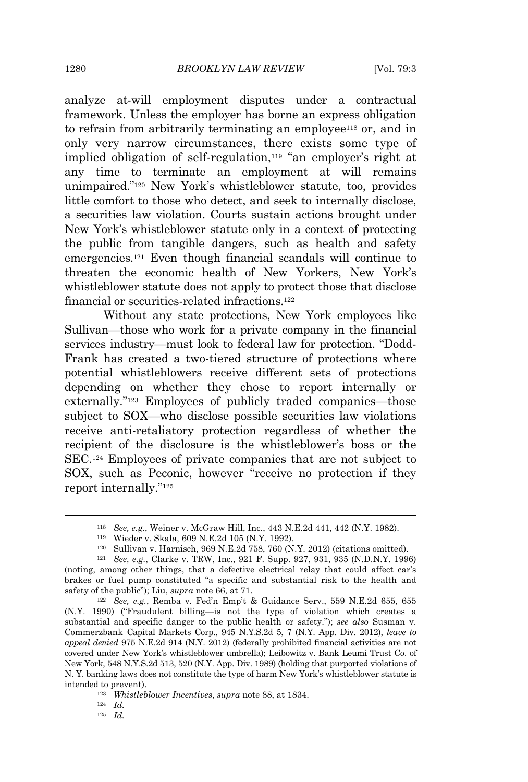analyze at-will employment disputes under a contractual framework. Unless the employer has borne an express obligation to refrain from arbitrarily terminating an employee<sup>118</sup> or, and in only very narrow circumstances, there exists some type of implied obligation of self-regulation,<sup>119</sup> "an employer's right at any time to terminate an employment at will remains unimpaired." <sup>120</sup> New York's whistleblower statute, too, provides little comfort to those who detect, and seek to internally disclose, a securities law violation. Courts sustain actions brought under New York's whistleblower statute only in a context of protecting the public from tangible dangers, such as health and safety emergencies.<sup>121</sup> Even though financial scandals will continue to threaten the economic health of New Yorkers, New York's whistleblower statute does not apply to protect those that disclose financial or securities-related infractions.<sup>122</sup>

Without any state protections, New York employees like Sullivan—those who work for a private company in the financial services industry—must look to federal law for protection. "Dodd-Frank has created a two-tiered structure of protections where potential whistleblowers receive different sets of protections depending on whether they chose to report internally or externally." <sup>123</sup> Employees of publicly traded companies—those subject to SOX—who disclose possible securities law violations receive anti-retaliatory protection regardless of whether the recipient of the disclosure is the whistleblower's boss or the SEC.<sup>124</sup> Employees of private companies that are not subject to SOX, such as Peconic, however "receive no protection if they report internally." 125

<sup>119</sup> Wieder v. Skala, 609 N.E.2d 105 (N.Y. 1992).

<sup>125</sup> *Id.*

<sup>118</sup> *See, e.g.*, Weiner v. McGraw Hill, Inc., 443 N.E.2d 441, 442 (N.Y. 1982).

<sup>120</sup> Sullivan v. Harnisch, 969 N.E.2d 758, 760 (N.Y. 2012) (citations omitted).

<sup>121</sup> *See, e.g.*, Clarke v. TRW, Inc., 921 F. Supp. 927, 931, 935 (N.D.N.Y. 1996) (noting, among other things, that a defective electrical relay that could affect car's brakes or fuel pump constituted "a specific and substantial risk to the health and safety of the public"); Liu, *supra* note 66, at 71.

<sup>122</sup> *See, e.g.*, Remba v. Fed'n Emp't & Guidance Serv., 559 N.E.2d 655, 655 (N.Y. 1990) ("Fraudulent billing—is not the type of violation which creates a substantial and specific danger to the public health or safety."); *see also* Susman v. Commerzbank Capital Markets Corp., 945 N.Y.S.2d 5, 7 (N.Y. App. Div. 2012), *leave to appeal denied* 975 N.E.2d 914 (N.Y. 2012) (federally prohibited financial activities are not covered under New York's whistleblower umbrella); Leibowitz v. Bank Leumi Trust Co. of New York, 548 N.Y.S.2d 513, 520 (N.Y. App. Div. 1989) (holding that purported violations of N. Y. banking laws does not constitute the type of harm New York's whistleblower statute is intended to prevent).

<sup>123</sup> *Whistleblower Incentives*, *supra* note 88, at 1834.

<sup>124</sup> *Id.*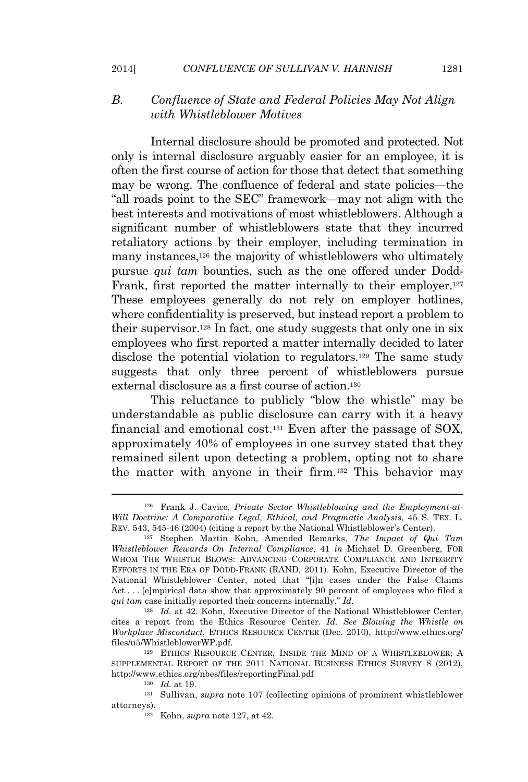#### 2014] *CONFLUENCE OF SULLIVAN V. HARNISH* 1281

# *B. Confluence of State and Federal Policies May Not Align with Whistleblower Motives*

Internal disclosure should be promoted and protected. Not only is internal disclosure arguably easier for an employee, it is often the first course of action for those that detect that something may be wrong. The confluence of federal and state policies—the "all roads point to the SEC" framework—may not align with the best interests and motivations of most whistleblowers. Although a significant number of whistleblowers state that they incurred retaliatory actions by their employer, including termination in many instances,<sup>126</sup> the majority of whistleblowers who ultimately pursue *qui tam* bounties, such as the one offered under Dodd-Frank, first reported the matter internally to their employer.<sup>127</sup> These employees generally do not rely on employer hotlines, where confidentiality is preserved, but instead report a problem to their supervisor.<sup>128</sup> In fact, one study suggests that only one in six employees who first reported a matter internally decided to later disclose the potential violation to regulators.<sup>129</sup> The same study suggests that only three percent of whistleblowers pursue external disclosure as a first course of action.<sup>130</sup>

This reluctance to publicly "blow the whistle" may be understandable as public disclosure can carry with it a heavy financial and emotional cost.<sup>131</sup> Even after the passage of SOX, approximately 40% of employees in one survey stated that they remained silent upon detecting a problem, opting not to share the matter with anyone in their firm.<sup>132</sup> This behavior may

<sup>126</sup> Frank J. Cavico, *Private Sector Whistleblowing and the Employment-at-Will Doctrine: A Comparative Legal, Ethical, and Pragmatic Analysis*, 45 S. TEX. L. REV. 543, 545-46 (2004) (citing a report by the National Whistleblower's Center).

<sup>127</sup> Stephen Martin Kohn, Amended Remarks, *The Impact of Qui Tam Whistleblower Rewards On Internal Compliance*, 41 *in* Michael D. Greenberg, FOR WHOM THE WHISTLE BLOWS: ADVANCING CORPORATE COMPLIANCE AND INTEGRITY EFFORTS IN THE ERA OF DODD-FRANK (RAND, 2011). Kohn, Executive Director of the National Whistleblower Center, noted that "[i]n cases under the False Claims Act . . . [e]mpirical data show that approximately 90 percent of employees who filed a *qui tam* case initially reported their concerns internally." *Id.*

<sup>&</sup>lt;sup>128</sup> *Id.* at 42. Kohn, Executive Director of the National Whistleblower Center, cites a report from the Ethics Resource Center. *Id. See Blowing the Whistle on Workplace Misconduct*, ETHICS RESOURCE CENTER (Dec. 2010), http://www.ethics.org/ files/u5/WhistleblowerWP.pdf.

<sup>129</sup> ETHICS RESOURCE CENTER, INSIDE THE MIND OF A WHISTLEBLOWER; A SUPPLEMENTAL REPORT OF THE 2011 NATIONAL BUSINESS ETHICS SURVEY 8 (2012), http://www.ethics.org/nbes/files/reportingFinal.pdf

<sup>130</sup> *Id.* at 19.

<sup>131</sup> Sullivan, *supra* note 107 (collecting opinions of prominent whistleblower attorneys).

<sup>132</sup> Kohn, *supra* note 127, at 42.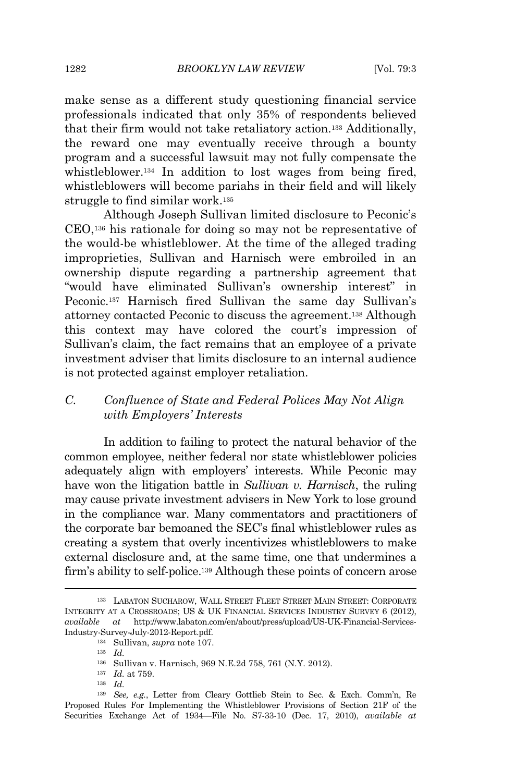make sense as a different study questioning financial service professionals indicated that only 35% of respondents believed that their firm would not take retaliatory action.<sup>133</sup> Additionally, the reward one may eventually receive through a bounty program and a successful lawsuit may not fully compensate the whistleblower.<sup>134</sup> In addition to lost wages from being fired, whistleblowers will become pariahs in their field and will likely struggle to find similar work.<sup>135</sup>

Although Joseph Sullivan limited disclosure to Peconic's CEO,<sup>136</sup> his rationale for doing so may not be representative of the would-be whistleblower. At the time of the alleged trading improprieties, Sullivan and Harnisch were embroiled in an ownership dispute regarding a partnership agreement that "would have eliminated Sullivan's ownership interest" in Peconic.<sup>137</sup> Harnisch fired Sullivan the same day Sullivan's attorney contacted Peconic to discuss the agreement.<sup>138</sup> Although this context may have colored the court's impression of Sullivan's claim, the fact remains that an employee of a private investment adviser that limits disclosure to an internal audience is not protected against employer retaliation.

# *C. Confluence of State and Federal Polices May Not Align with Employers' Interests*

In addition to failing to protect the natural behavior of the common employee, neither federal nor state whistleblower policies adequately align with employers' interests. While Peconic may have won the litigation battle in *Sullivan v. Harnisch*, the ruling may cause private investment advisers in New York to lose ground in the compliance war. Many commentators and practitioners of the corporate bar bemoaned the SEC's final whistleblower rules as creating a system that overly incentivizes whistleblowers to make external disclosure and, at the same time, one that undermines a firm's ability to self-police.<sup>139</sup> Although these points of concern arose

<sup>133</sup> LABATON SUCHAROW, WALL STREET FLEET STREET MAIN STREET: CORPORATE INTEGRITY AT A CROSSROADS; US & UK FINANCIAL SERVICES INDUSTRY SURVEY 6 (2012), *available at* http://www.labaton.com/en/about/press/upload/US-UK-Financial-Services-Industry-Survey-July-2012-Report.pdf.

<sup>134</sup> Sullivan, *supra* note 107.

<sup>135</sup> *Id.*

<sup>136</sup> Sullivan v. Harnisch, 969 N.E.2d 758, 761 (N.Y. 2012).

<sup>137</sup> *Id.* at 759.

<sup>138</sup> *Id.*

<sup>139</sup> *See, e.g.*, Letter from Cleary Gottlieb Stein to Sec. & Exch. Comm'n, Re Proposed Rules For Implementing the Whistleblower Provisions of Section 21F of the Securities Exchange Act of 1934—File No. S7-33-10 (Dec. 17, 2010), *available at*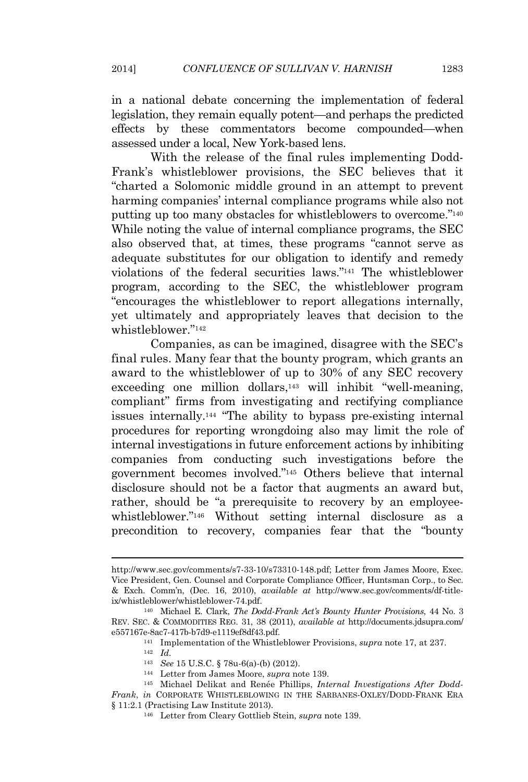in a national debate concerning the implementation of federal legislation, they remain equally potent—and perhaps the predicted effects by these commentators become compounded—when assessed under a local, New York-based lens.

With the release of the final rules implementing Dodd-Frank's whistleblower provisions, the SEC believes that it "charted a Solomonic middle ground in an attempt to prevent harming companies' internal compliance programs while also not putting up too many obstacles for whistleblowers to overcome." 140 While noting the value of internal compliance programs, the SEC also observed that, at times, these programs "cannot serve as adequate substitutes for our obligation to identify and remedy violations of the federal securities laws." <sup>141</sup> The whistleblower program, according to the SEC, the whistleblower program "encourages the whistleblower to report allegations internally, yet ultimately and appropriately leaves that decision to the whistleblower." 142

Companies, as can be imagined, disagree with the SEC's final rules. Many fear that the bounty program, which grants an award to the whistleblower of up to 30% of any SEC recovery exceeding one million dollars,<sup>143</sup> will inhibit "well-meaning, compliant" firms from investigating and rectifying compliance issues internally.<sup>144</sup> "The ability to bypass pre-existing internal procedures for reporting wrongdoing also may limit the role of internal investigations in future enforcement actions by inhibiting companies from conducting such investigations before the government becomes involved." <sup>145</sup> Others believe that internal disclosure should not be a factor that augments an award but, rather, should be "a prerequisite to recovery by an employeewhistleblower." <sup>146</sup> Without setting internal disclosure as a precondition to recovery, companies fear that the "bounty

<sup>144</sup> Letter from James Moore, *supra* note 139.

http://www.sec.gov/comments/s7-33-10/s73310-148.pdf; Letter from James Moore, Exec. Vice President, Gen. Counsel and Corporate Compliance Officer, Huntsman Corp., to Sec. & Exch. Comm'n, (Dec. 16, 2010), *available at* http://www.sec.gov/comments/df-titleix/whistleblower/whistleblower-74.pdf.

<sup>140</sup> Michael E. Clark, *The Dodd-Frank Act's Bounty Hunter Provisions*, 44 No. 3 REV. SEC. & COMMODITIES REG. 31, 38 (2011), *available at* http://documents.jdsupra.com/ e557167e-8ac7-417b-b7d9-e1119ef8df43.pdf.

<sup>141</sup> Implementation of the Whistleblower Provisions, *supra* note 17, at 237.

<sup>142</sup> *Id.*

<sup>143</sup> *See* 15 U.S.C. § 78u-6(a)-(b) (2012).

<sup>145</sup> Michael Delikat and Renée Phillips, *Internal Investigations After Dodd-Frank*, *in* CORPORATE WHISTLEBLOWING IN THE SARBANES-OXLEY/DODD-FRANK ERA § 11:2.1 (Practising Law Institute 2013).

<sup>146</sup> Letter from Cleary Gottlieb Stein, *supra* note 139.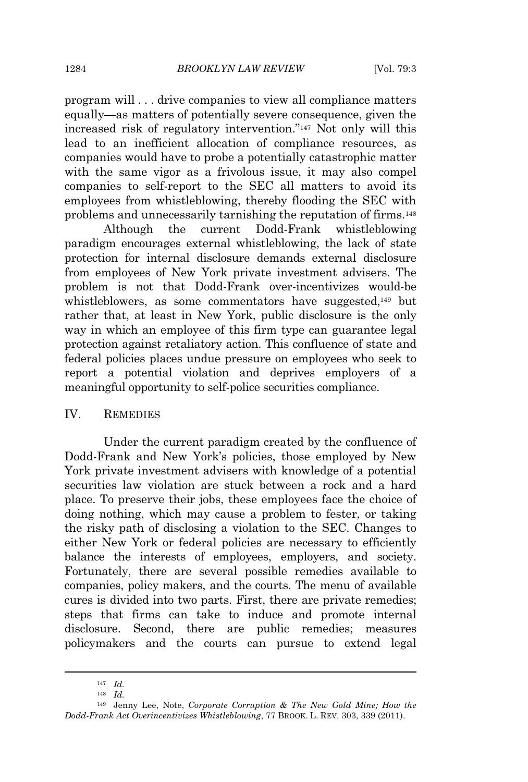program will . . . drive companies to view all compliance matters equally—as matters of potentially severe consequence, given the increased risk of regulatory intervention." <sup>147</sup> Not only will this lead to an inefficient allocation of compliance resources, as companies would have to probe a potentially catastrophic matter with the same vigor as a frivolous issue, it may also compel companies to self-report to the SEC all matters to avoid its employees from whistleblowing, thereby flooding the SEC with problems and unnecessarily tarnishing the reputation of firms.<sup>148</sup>

Although the current Dodd-Frank whistleblowing paradigm encourages external whistleblowing, the lack of state protection for internal disclosure demands external disclosure from employees of New York private investment advisers. The problem is not that Dodd-Frank over-incentivizes would-be whistleblowers, as some commentators have suggested,<sup>149</sup> but rather that, at least in New York, public disclosure is the only way in which an employee of this firm type can guarantee legal protection against retaliatory action. This confluence of state and federal policies places undue pressure on employees who seek to report a potential violation and deprives employers of a meaningful opportunity to self-police securities compliance.

# IV. REMEDIES

Under the current paradigm created by the confluence of Dodd-Frank and New York's policies, those employed by New York private investment advisers with knowledge of a potential securities law violation are stuck between a rock and a hard place. To preserve their jobs, these employees face the choice of doing nothing, which may cause a problem to fester, or taking the risky path of disclosing a violation to the SEC. Changes to either New York or federal policies are necessary to efficiently balance the interests of employees, employers, and society. Fortunately, there are several possible remedies available to companies, policy makers, and the courts. The menu of available cures is divided into two parts. First, there are private remedies; steps that firms can take to induce and promote internal disclosure. Second, there are public remedies; measures policymakers and the courts can pursue to extend legal

<sup>147</sup> *Id.*

<sup>148</sup> *Id.*

<sup>149</sup> Jenny Lee, Note, *Corporate Corruption & The New Gold Mine; How the Dodd-Frank Act Overincentivizes Whistleblowing*, 77 BROOK. L. REV. 303, 339 (2011).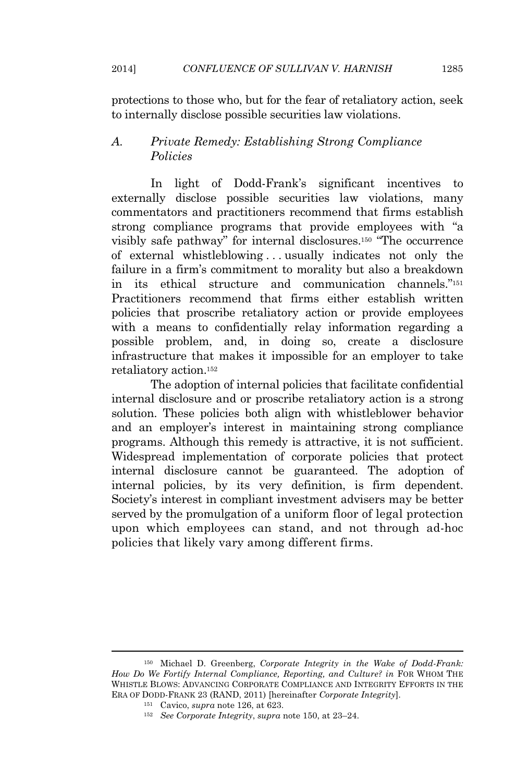protections to those who, but for the fear of retaliatory action, seek to internally disclose possible securities law violations.

# *A. Private Remedy: Establishing Strong Compliance Policies*

In light of Dodd-Frank's significant incentives to externally disclose possible securities law violations, many commentators and practitioners recommend that firms establish strong compliance programs that provide employees with "a visibly safe pathway" for internal disclosures.<sup>150</sup> "The occurrence of external whistleblowing . . . usually indicates not only the failure in a firm's commitment to morality but also a breakdown in its ethical structure and communication channels." 151 Practitioners recommend that firms either establish written policies that proscribe retaliatory action or provide employees with a means to confidentially relay information regarding a possible problem, and, in doing so, create a disclosure infrastructure that makes it impossible for an employer to take retaliatory action.<sup>152</sup>

The adoption of internal policies that facilitate confidential internal disclosure and or proscribe retaliatory action is a strong solution. These policies both align with whistleblower behavior and an employer's interest in maintaining strong compliance programs. Although this remedy is attractive, it is not sufficient. Widespread implementation of corporate policies that protect internal disclosure cannot be guaranteed. The adoption of internal policies, by its very definition, is firm dependent. Society's interest in compliant investment advisers may be better served by the promulgation of a uniform floor of legal protection upon which employees can stand, and not through ad-hoc policies that likely vary among different firms.

<sup>150</sup> Michael D. Greenberg, *Corporate Integrity in the Wake of Dodd-Frank: How Do We Fortify Internal Compliance, Reporting, and Culture? in* FOR WHOM THE WHISTLE BLOWS: ADVANCING CORPORATE COMPLIANCE AND INTEGRITY EFFORTS IN THE ERA OF DODD-FRANK 23 (RAND, 2011) [hereinafter *Corporate Integrity*].

<sup>151</sup> Cavico, *supra* note 126, at 623.

<sup>152</sup> *See Corporate Integrity*, *supra* note 150, at 23–24.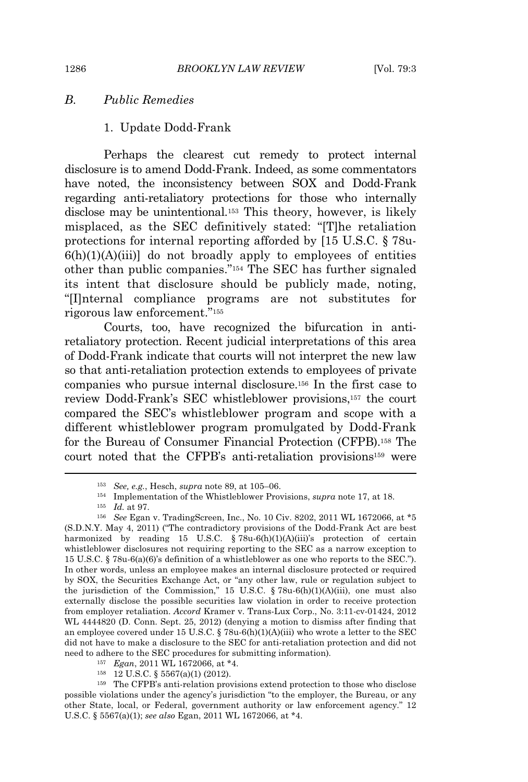# *B. Public Remedies*

#### 1. Update Dodd-Frank

Perhaps the clearest cut remedy to protect internal disclosure is to amend Dodd-Frank. Indeed, as some commentators have noted, the inconsistency between SOX and Dodd-Frank regarding anti-retaliatory protections for those who internally disclose may be unintentional.<sup>153</sup> This theory, however, is likely misplaced, as the SEC definitively stated: "[T]he retaliation protections for internal reporting afforded by [15 U.S.C. § 78u- $6(h)(1)(A)(iii)$ ] do not broadly apply to employees of entities other than public companies." <sup>154</sup> The SEC has further signaled its intent that disclosure should be publicly made, noting, "[I]nternal compliance programs are not substitutes for rigorous law enforcement." 155

Courts, too, have recognized the bifurcation in antiretaliatory protection. Recent judicial interpretations of this area of Dodd-Frank indicate that courts will not interpret the new law so that anti-retaliation protection extends to employees of private companies who pursue internal disclosure.<sup>156</sup> In the first case to review Dodd-Frank's SEC whistleblower provisions,<sup>157</sup> the court compared the SEC's whistleblower program and scope with a different whistleblower program promulgated by Dodd-Frank for the Bureau of Consumer Financial Protection (CFPB).<sup>158</sup> The court noted that the CFPB's anti-retaliation provisions<sup>159</sup> were

- <sup>157</sup> *Egan*, 2011 WL 1672066, at \*4.
- <sup>158</sup> 12 U.S.C. § 5567(a)(1) (2012).

<sup>153</sup> *See, e.g.*, Hesch, *supra* note 89, at 105–06.

<sup>154</sup> Implementation of the Whistleblower Provisions, *supra* note 17, at 18.

<sup>155</sup> *Id.* at 97.

<sup>156</sup> *See* Egan v. TradingScreen, Inc., No. 10 Civ. 8202, 2011 WL 1672066, at \*5 (S.D.N.Y. May 4, 2011) ("The contradictory provisions of the Dodd-Frank Act are best harmonized by reading 15 U.S.C. § 78u-6(h)(1)(A)(iii)'s protection of certain whistleblower disclosures not requiring reporting to the SEC as a narrow exception to 15 U.S.C. § 78u-6(a)(6)'s definition of a whistleblower as one who reports to the SEC."). In other words, unless an employee makes an internal disclosure protected or required by SOX, the Securities Exchange Act, or "any other law, rule or regulation subject to the jurisdiction of the Commission," 15 U.S.C. § 78u-6(h)(1)(A)(iii), one must also externally disclose the possible securities law violation in order to receive protection from employer retaliation. *Accord* Kramer v. Trans-Lux Corp., No. 3:11-cv-01424, 2012 WL 4444820 (D. Conn. Sept. 25, 2012) (denying a motion to dismiss after finding that an employee covered under 15 U.S.C. § 78u-6(h)(1)(A)(iii) who wrote a letter to the SEC did not have to make a disclosure to the SEC for anti-retaliation protection and did not need to adhere to the SEC procedures for submitting information)*.*

<sup>159</sup> The CFPB's anti-relation provisions extend protection to those who disclose possible violations under the agency's jurisdiction "to the employer, the Bureau, or any other State, local, or Federal, government authority or law enforcement agency." 12 U.S.C. § 5567(a)(1); *see also* Egan, 2011 WL 1672066, at \*4.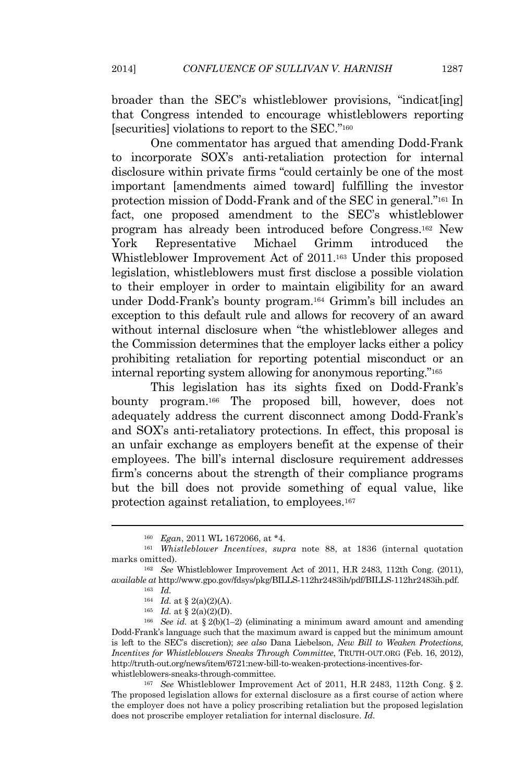broader than the SEC's whistleblower provisions, "indicat[ing] that Congress intended to encourage whistleblowers reporting [securities] violations to report to the SEC."<sup>160</sup>

One commentator has argued that amending Dodd-Frank to incorporate SOX's anti-retaliation protection for internal disclosure within private firms "could certainly be one of the most important [amendments aimed toward] fulfilling the investor protection mission of Dodd-Frank and of the SEC in general." <sup>161</sup> In fact, one proposed amendment to the SEC's whistleblower program has already been introduced before Congress.<sup>162</sup> New York Representative Michael Grimm introduced the Whistleblower Improvement Act of 2011.<sup>163</sup> Under this proposed legislation, whistleblowers must first disclose a possible violation to their employer in order to maintain eligibility for an award under Dodd-Frank's bounty program.<sup>164</sup> Grimm's bill includes an exception to this default rule and allows for recovery of an award without internal disclosure when "the whistleblower alleges and the Commission determines that the employer lacks either a policy prohibiting retaliation for reporting potential misconduct or an internal reporting system allowing for anonymous reporting." 165

This legislation has its sights fixed on Dodd-Frank's bounty program.<sup>166</sup> The proposed bill, however, does not adequately address the current disconnect among Dodd-Frank's and SOX's anti-retaliatory protections. In effect, this proposal is an unfair exchange as employers benefit at the expense of their employees. The bill's internal disclosure requirement addresses firm's concerns about the strength of their compliance programs but the bill does not provide something of equal value, like protection against retaliation, to employees.<sup>167</sup>

<sup>166</sup> *See id.* at § 2(b)(1–2) (eliminating a minimum award amount and amending Dodd-Frank's language such that the maximum award is capped but the minimum amount is left to the SEC's discretion); *see also* Dana Liebelson, *New Bill to Weaken Protections, Incentives for Whistleblowers Sneaks Through Committee*, TRUTH-OUT.ORG (Feb. 16, 2012), http://truth-out.org/news/item/6721:new-bill-to-weaken-protections-incentives-forwhistleblowers-sneaks-through-committee.

<sup>167</sup> *See* Whistleblower Improvement Act of 2011, H.R 2483, 112th Cong. § 2. The proposed legislation allows for external disclosure as a first course of action where the employer does not have a policy proscribing retaliation but the proposed legislation does not proscribe employer retaliation for internal disclosure. *Id.*

<sup>160</sup> *Egan*, 2011 WL 1672066, at \*4.

<sup>161</sup> *Whistleblower Incentives*, *supra* note 88, at 1836 (internal quotation marks omitted).

<sup>162</sup> *See* Whistleblower Improvement Act of 2011, H.R 2483, 112th Cong. (2011), *available at* http://www.gpo.gov/fdsys/pkg/BILLS-112hr2483ih/pdf/BILLS-112hr2483ih.pdf.

<sup>163</sup> *Id.*

<sup>&</sup>lt;sup>164</sup> *Id.* at § 2(a)(2)(A).

<sup>165</sup> *Id.* at § 2(a)(2)(D).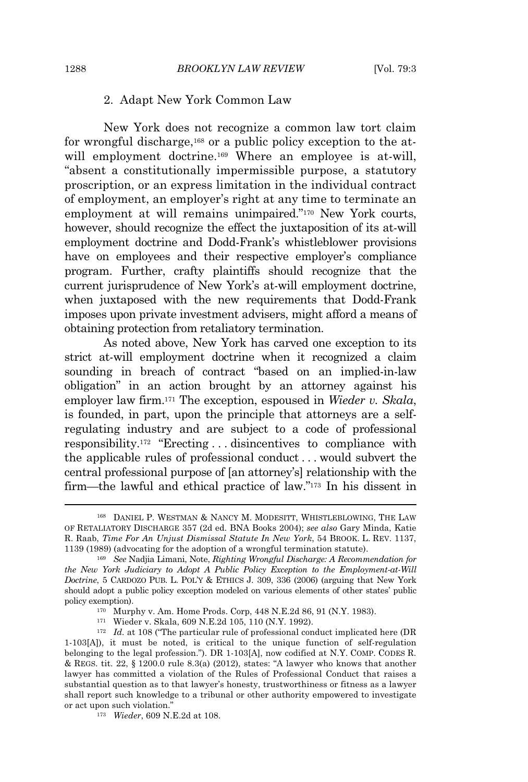# 2. Adapt New York Common Law

New York does not recognize a common law tort claim for wrongful discharge,<sup>168</sup> or a public policy exception to the atwill employment doctrine.<sup>169</sup> Where an employee is at-will, "absent a constitutionally impermissible purpose, a statutory proscription, or an express limitation in the individual contract of employment, an employer's right at any time to terminate an employment at will remains unimpaired."<sup>170</sup> New York courts, however, should recognize the effect the juxtaposition of its at-will employment doctrine and Dodd-Frank's whistleblower provisions have on employees and their respective employer's compliance program. Further, crafty plaintiffs should recognize that the current jurisprudence of New York's at-will employment doctrine, when juxtaposed with the new requirements that Dodd-Frank imposes upon private investment advisers, might afford a means of obtaining protection from retaliatory termination.

As noted above, New York has carved one exception to its strict at-will employment doctrine when it recognized a claim sounding in breach of contract "based on an implied-in-law obligation" in an action brought by an attorney against his employer law firm.<sup>171</sup> The exception, espoused in *Wieder v. Skala*, is founded, in part, upon the principle that attorneys are a selfregulating industry and are subject to a code of professional responsibility.<sup>172</sup> "Erecting . . . disincentives to compliance with the applicable rules of professional conduct . . . would subvert the central professional purpose of [an attorney's] relationship with the firm—the lawful and ethical practice of law." <sup>173</sup> In his dissent in

<sup>168</sup> DANIEL P. WESTMAN & NANCY M. MODESITT, WHISTLEBLOWING, THE LAW OF RETALIATORY DISCHARGE 357 (2d ed. BNA Books 2004); *see also* Gary Minda, Katie R. Raab, *Time For An Unjust Dismissal Statute In New York*, 54 BROOK. L. REV. 1137, 1139 (1989) (advocating for the adoption of a wrongful termination statute).

<sup>169</sup> *See* Nadjia Limani, Note, *Righting Wrongful Discharge: A Recommendation for the New York Judiciary to Adopt A Public Policy Exception to the Employment-at-Will Doctrine*, 5 CARDOZO PUB. L. POL'<sup>Y</sup> & ETHICS J. 309, 336 (2006) (arguing that New York should adopt a public policy exception modeled on various elements of other states' public policy exemption).

<sup>170</sup> Murphy v. Am. Home Prods. Corp, 448 N.E.2d 86, 91 (N.Y. 1983).

<sup>171</sup> Wieder v. Skala, 609 N.E.2d 105, 110 (N.Y. 1992).

<sup>&</sup>lt;sup>172</sup> *Id.* at 108 ("The particular rule of professional conduct implicated here (DR 1-103[A]), it must be noted, is critical to the unique function of self-regulation belonging to the legal profession."). DR 1-103[A], now codified at N.Y. COMP. CODES R. & REGS. tit. 22, § 1200.0 rule 8.3(a) (2012), states: "A lawyer who knows that another lawyer has committed a violation of the Rules of Professional Conduct that raises a substantial question as to that lawyer's honesty, trustworthiness or fitness as a lawyer shall report such knowledge to a tribunal or other authority empowered to investigate or act upon such violation."

<sup>173</sup> *Wieder*, 609 N.E.2d at 108.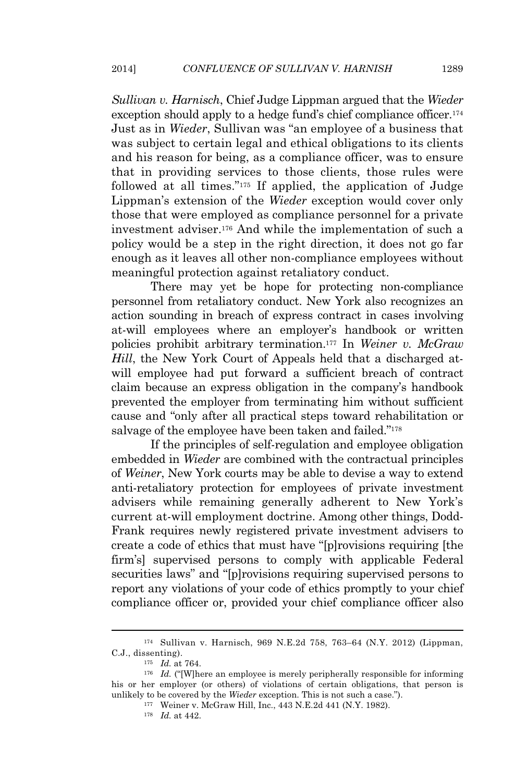*Sullivan v. Harnisch*, Chief Judge Lippman argued that the *Wieder* exception should apply to a hedge fund's chief compliance officer.<sup>174</sup> Just as in *Wieder*, Sullivan was "an employee of a business that was subject to certain legal and ethical obligations to its clients and his reason for being, as a compliance officer, was to ensure that in providing services to those clients, those rules were followed at all times." <sup>175</sup> If applied, the application of Judge Lippman's extension of the *Wieder* exception would cover only those that were employed as compliance personnel for a private investment adviser.<sup>176</sup> And while the implementation of such a policy would be a step in the right direction, it does not go far enough as it leaves all other non-compliance employees without meaningful protection against retaliatory conduct.

There may yet be hope for protecting non-compliance personnel from retaliatory conduct. New York also recognizes an action sounding in breach of express contract in cases involving at-will employees where an employer's handbook or written policies prohibit arbitrary termination.<sup>177</sup> In *Weiner v. McGraw Hill*, the New York Court of Appeals held that a discharged atwill employee had put forward a sufficient breach of contract claim because an express obligation in the company's handbook prevented the employer from terminating him without sufficient cause and "only after all practical steps toward rehabilitation or salvage of the employee have been taken and failed."<sup>178</sup>

If the principles of self-regulation and employee obligation embedded in *Wieder* are combined with the contractual principles of *Weiner*, New York courts may be able to devise a way to extend anti-retaliatory protection for employees of private investment advisers while remaining generally adherent to New York's current at-will employment doctrine. Among other things, Dodd-Frank requires newly registered private investment advisers to create a code of ethics that must have "[p]rovisions requiring [the firm's] supervised persons to comply with applicable Federal securities laws" and "[p]rovisions requiring supervised persons to report any violations of your code of ethics promptly to your chief compliance officer or, provided your chief compliance officer also

<sup>174</sup> Sullivan v. Harnisch, 969 N.E.2d 758, 763–64 (N.Y. 2012) (Lippman, C.J., dissenting).

<sup>175</sup> *Id.* at 764.

<sup>&</sup>lt;sup>176</sup> *Id.* ("[W]here an employee is merely peripherally responsible for informing his or her employer (or others) of violations of certain obligations, that person is unlikely to be covered by the *Wieder* exception. This is not such a case.").

<sup>177</sup> Weiner v. McGraw Hill, Inc., 443 N.E.2d 441 (N.Y. 1982).

<sup>178</sup> *Id.* at 442.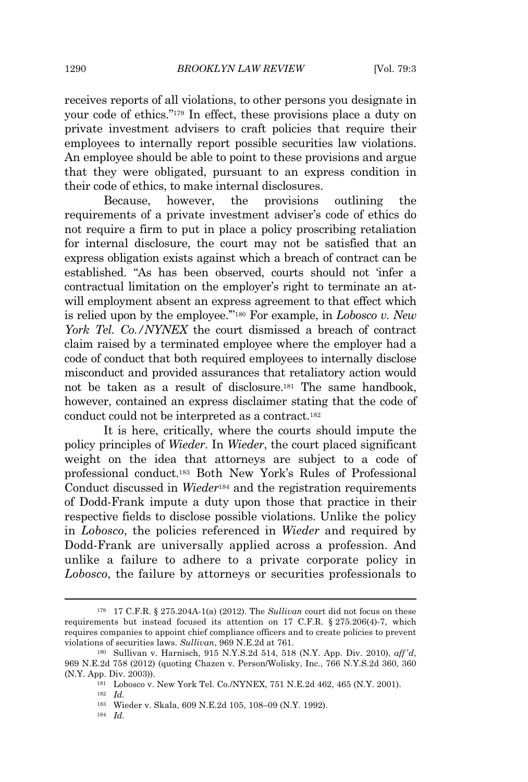receives reports of all violations, to other persons you designate in your code of ethics." <sup>179</sup> In effect, these provisions place a duty on private investment advisers to craft policies that require their employees to internally report possible securities law violations. An employee should be able to point to these provisions and argue that they were obligated, pursuant to an express condition in their code of ethics, to make internal disclosures.

Because, however, the provisions outlining the requirements of a private investment adviser's code of ethics do not require a firm to put in place a policy proscribing retaliation for internal disclosure, the court may not be satisfied that an express obligation exists against which a breach of contract can be established. "As has been observed, courts should not 'infer a contractual limitation on the employer's right to terminate an atwill employment absent an express agreement to that effect which is relied upon by the employee.'" <sup>180</sup> For example, in *Lobosco v. New York Tel. Co./NYNEX* the court dismissed a breach of contract claim raised by a terminated employee where the employer had a code of conduct that both required employees to internally disclose misconduct and provided assurances that retaliatory action would not be taken as a result of disclosure.<sup>181</sup> The same handbook, however, contained an express disclaimer stating that the code of conduct could not be interpreted as a contract.<sup>182</sup>

It is here, critically, where the courts should impute the policy principles of *Wieder*. In *Wieder*, the court placed significant weight on the idea that attorneys are subject to a code of professional conduct.<sup>183</sup> Both New York's Rules of Professional Conduct discussed in *Wieder*<sup>184</sup> and the registration requirements of Dodd-Frank impute a duty upon those that practice in their respective fields to disclose possible violations. Unlike the policy in *Lobosco*, the policies referenced in *Wieder* and required by Dodd-Frank are universally applied across a profession. And unlike a failure to adhere to a private corporate policy in *Lobosco*, the failure by attorneys or securities professionals to

<sup>179</sup> 17 C.F.R. § 275.204A-1(a) (2012). The *Sullivan* court did not focus on these requirements but instead focused its attention on 17 C.F.R. § 275.206(4)-7, which requires companies to appoint chief compliance officers and to create policies to prevent violations of securities laws. *Sullivan*, 969 N.E.2d at 761.

<sup>180</sup> Sullivan v. Harnisch, 915 N.Y.S.2d 514, 518 (N.Y. App. Div. 2010), *aff'd*, 969 N.E.2d 758 (2012) (quoting Chazen v. Person/Wolisky, Inc., 766 N.Y.S.2d 360, 360 (N.Y. App. Div. 2003)).

<sup>181</sup> Lobosco v. New York Tel. Co./NYNEX, 751 N.E.2d 462, 465 (N.Y. 2001). <sup>182</sup> *Id.*

<sup>183</sup> Wieder v. Skala, 609 N.E.2d 105, 108–09 (N.Y. 1992).

<sup>184</sup> *Id.*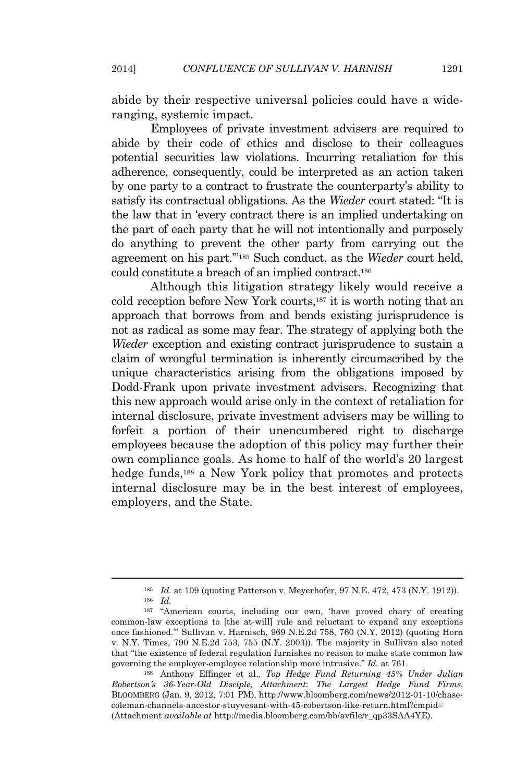abide by their respective universal policies could have a wideranging, systemic impact.

Employees of private investment advisers are required to abide by their code of ethics and disclose to their colleagues potential securities law violations. Incurring retaliation for this adherence, consequently, could be interpreted as an action taken by one party to a contract to frustrate the counterparty's ability to satisfy its contractual obligations. As the *Wieder* court stated: "It is the law that in 'every contract there is an implied undertaking on the part of each party that he will not intentionally and purposely do anything to prevent the other party from carrying out the agreement on his part.'" <sup>185</sup> Such conduct, as the *Wieder* court held, could constitute a breach of an implied contract.<sup>186</sup>

Although this litigation strategy likely would receive a cold reception before New York courts,<sup>187</sup> it is worth noting that an approach that borrows from and bends existing jurisprudence is not as radical as some may fear. The strategy of applying both the *Wieder* exception and existing contract jurisprudence to sustain a claim of wrongful termination is inherently circumscribed by the unique characteristics arising from the obligations imposed by Dodd-Frank upon private investment advisers. Recognizing that this new approach would arise only in the context of retaliation for internal disclosure, private investment advisers may be willing to forfeit a portion of their unencumbered right to discharge employees because the adoption of this policy may further their own compliance goals. As home to half of the world's 20 largest hedge funds,<sup>188</sup> a New York policy that promotes and protects internal disclosure may be in the best interest of employees, employers, and the State.

<sup>188</sup> Anthony Effinger et al., *Top Hedge Fund Returning 45% Under Julian Robertson's 36-Year-Old Disciple, Attachment*: *The Largest Hedge Fund Firms*, BLOOMBERG (Jan. 9, 2012, 7:01 PM), http://www.bloomberg.com/news/2012-01-10/chasecoleman-channels-ancestor-stuyvesant-with-45-robertson-like-return.html?cmpid= (Attachment *available at* http://media.bloomberg.com/bb/avfile/r\_qp33SAA4YE).

<sup>185</sup> *Id.* at 109 (quoting Patterson v. Meyerhofer, 97 N.E. 472, 473 (N.Y. 1912)).

<sup>186</sup> *Id.*

<sup>187</sup> "American courts, including our own, 'have proved chary of creating common-law exceptions to [the at-will] rule and reluctant to expand any exceptions once fashioned.'" Sullivan v. Harnisch, 969 N.E.2d 758, 760 (N.Y. 2012) (quoting Horn v. N.Y. Times, 790 N.E.2d 753, 755 (N.Y. 2003)). The majority in Sullivan also noted that "the existence of federal regulation furnishes no reason to make state common law governing the employer-employee relationship more intrusive." *Id.* at 761.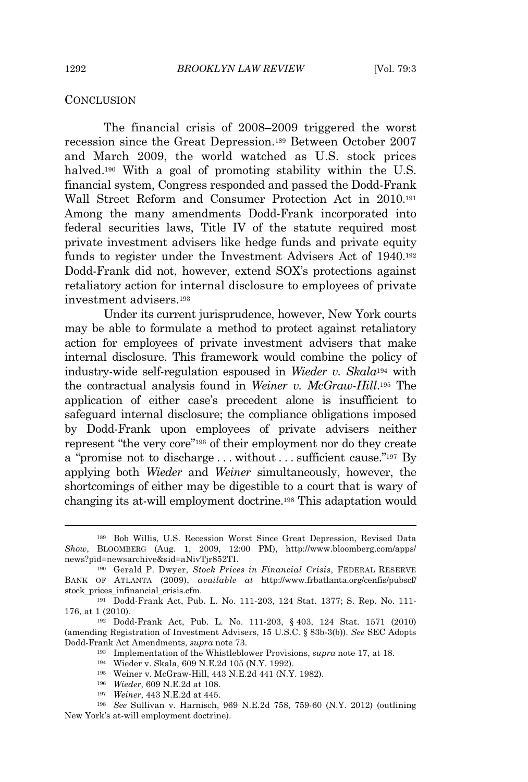#### **CONCLUSION**

The financial crisis of 2008–2009 triggered the worst recession since the Great Depression.<sup>189</sup> Between October 2007 and March 2009, the world watched as U.S. stock prices halved.<sup>190</sup> With a goal of promoting stability within the U.S. financial system, Congress responded and passed the Dodd-Frank Wall Street Reform and Consumer Protection Act in 2010.<sup>191</sup> Among the many amendments Dodd-Frank incorporated into federal securities laws, Title IV of the statute required most private investment advisers like hedge funds and private equity funds to register under the Investment Advisers Act of 1940.<sup>192</sup> Dodd-Frank did not, however, extend SOX's protections against retaliatory action for internal disclosure to employees of private investment advisers.<sup>193</sup>

Under its current jurisprudence, however, New York courts may be able to formulate a method to protect against retaliatory action for employees of private investment advisers that make internal disclosure. This framework would combine the policy of industry-wide self-regulation espoused in *Wieder v. Skala*<sup>194</sup> with the contractual analysis found in *Weiner v. McGraw-Hill*. <sup>195</sup> The application of either case's precedent alone is insufficient to safeguard internal disclosure; the compliance obligations imposed by Dodd-Frank upon employees of private advisers neither represent "the very core" <sup>196</sup> of their employment nor do they create a "promise not to discharge...without...sufficient cause."<sup>197</sup> By applying both *Wieder* and *Weiner* simultaneously, however, the shortcomings of either may be digestible to a court that is wary of changing its at-will employment doctrine.<sup>198</sup> This adaptation would

- <sup>194</sup> Wieder v. Skala, 609 N.E.2d 105 (N.Y. 1992).
- <sup>195</sup> Weiner v. McGraw-Hill, 443 N.E.2d 441 (N.Y. 1982).
- <sup>196</sup> *Wieder*, 609 N.E.2d at 108.
- <sup>197</sup> *Weiner*, 443 N.E.2d at 445.

<sup>198</sup> *See* Sullivan v. Harnisch, 969 N.E.2d 758, 759-60 (N.Y. 2012) (outlining New York's at-will employment doctrine).

<sup>189</sup> Bob Willis, U.S. Recession Worst Since Great Depression, Revised Data *Show*, BLOOMBERG (Aug. 1, 2009, 12:00 PM), http://www.bloomberg.com/apps/ news?pid=newsarchive&sid=aNivTjr852TI.

<sup>190</sup> Gerald P. Dwyer, *Stock Prices in Financial Crisis*, FEDERAL RESERVE BANK OF ATLANTA (2009), *available at* http://www.frbatlanta.org/cenfis/pubscf/ stock\_prices\_infinancial\_crisis.cfm.

<sup>191</sup> Dodd-Frank Act, Pub. L. No. 111-203, 124 Stat. 1377; S. Rep. No. 111- 176, at 1 (2010).

<sup>192</sup> Dodd-Frank Act, Pub. L. No. 111-203, § 403, 124 Stat. 1571 (2010) (amending Registration of Investment Advisers, 15 U.S.C. § 83b-3(b)). *See* SEC Adopts Dodd-Frank Act Amendments, *supra* note 73.

<sup>193</sup> Implementation of the Whistleblower Provisions, *supra* note 17, at 18.